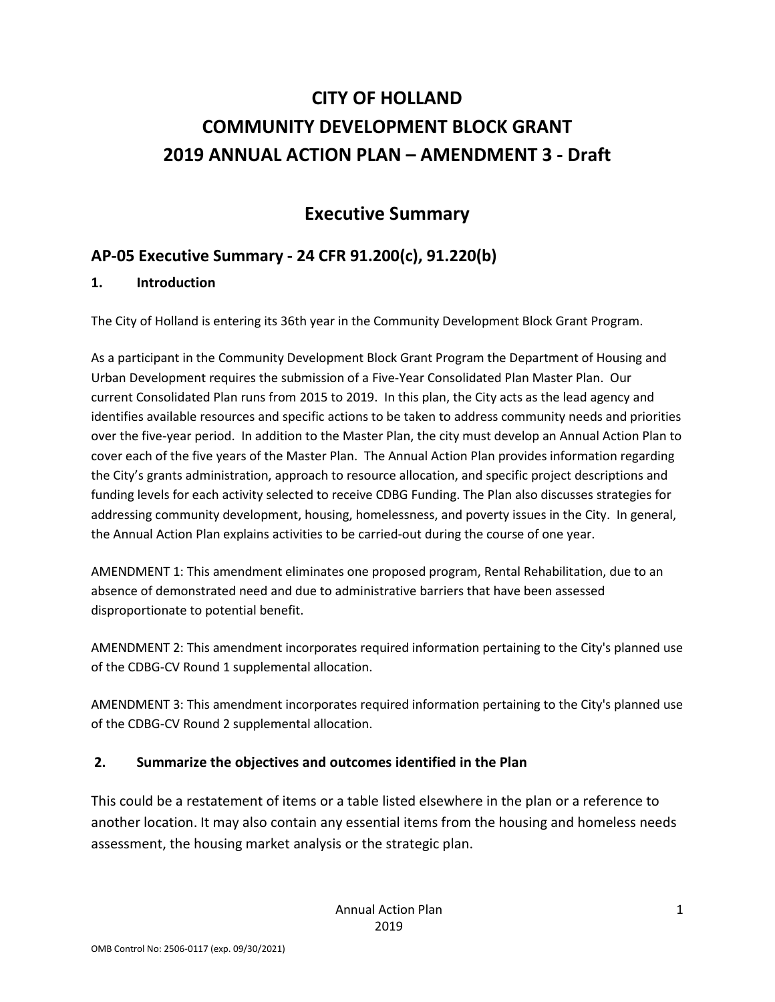## **CITY OF HOLLAND COMMUNITY DEVELOPMENT BLOCK GRANT 2019 ANNUAL ACTION PLAN – AMENDMENT 3 - Draft**

### **Executive Summary**

### **AP-05 Executive Summary - 24 CFR 91.200(c), 91.220(b)**

### **1. Introduction**

The City of Holland is entering its 36th year in the Community Development Block Grant Program.

As a participant in the Community Development Block Grant Program the Department of Housing and Urban Development requires the submission of a Five-Year Consolidated Plan Master Plan. Our current Consolidated Plan runs from 2015 to 2019. In this plan, the City acts as the lead agency and identifies available resources and specific actions to be taken to address community needs and priorities over the five-year period. In addition to the Master Plan, the city must develop an Annual Action Plan to cover each of the five years of the Master Plan. The Annual Action Plan provides information regarding the City's grants administration, approach to resource allocation, and specific project descriptions and funding levels for each activity selected to receive CDBG Funding. The Plan also discusses strategies for addressing community development, housing, homelessness, and poverty issues in the City. In general, the Annual Action Plan explains activities to be carried-out during the course of one year.

AMENDMENT 1: This amendment eliminates one proposed program, Rental Rehabilitation, due to an absence of demonstrated need and due to administrative barriers that have been assessed disproportionate to potential benefit.

AMENDMENT 2: This amendment incorporates required information pertaining to the City's planned use of the CDBG-CV Round 1 supplemental allocation.

AMENDMENT 3: This amendment incorporates required information pertaining to the City's planned use of the CDBG-CV Round 2 supplemental allocation.

### **2. Summarize the objectives and outcomes identified in the Plan**

This could be a restatement of items or a table listed elsewhere in the plan or a reference to another location. It may also contain any essential items from the housing and homeless needs assessment, the housing market analysis or the strategic plan.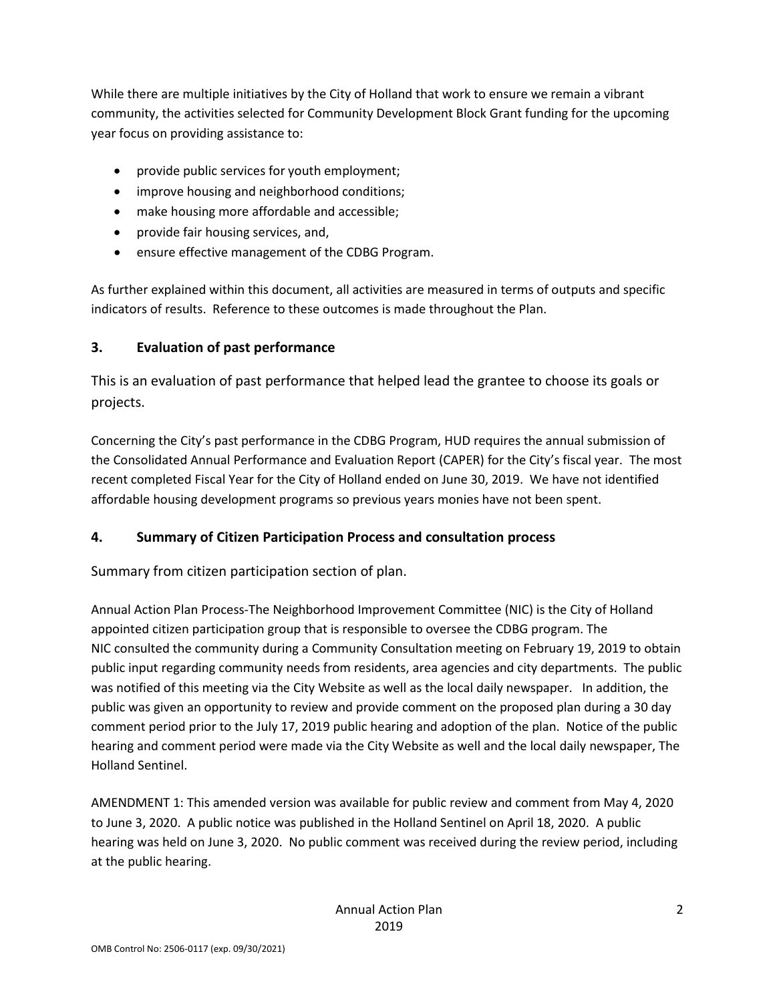While there are multiple initiatives by the City of Holland that work to ensure we remain a vibrant community, the activities selected for Community Development Block Grant funding for the upcoming year focus on providing assistance to:

- provide public services for youth employment;
- improve housing and neighborhood conditions;
- make housing more affordable and accessible;
- provide fair housing services, and,
- ensure effective management of the CDBG Program.

As further explained within this document, all activities are measured in terms of outputs and specific indicators of results. Reference to these outcomes is made throughout the Plan.

### **3. Evaluation of past performance**

This is an evaluation of past performance that helped lead the grantee to choose its goals or projects.

Concerning the City's past performance in the CDBG Program, HUD requires the annual submission of the Consolidated Annual Performance and Evaluation Report (CAPER) for the City's fiscal year. The most recent completed Fiscal Year for the City of Holland ended on June 30, 2019. We have not identified affordable housing development programs so previous years monies have not been spent.

### **4. Summary of Citizen Participation Process and consultation process**

Summary from citizen participation section of plan.

Annual Action Plan Process-The Neighborhood Improvement Committee (NIC) is the City of Holland appointed citizen participation group that is responsible to oversee the CDBG program. The NIC consulted the community during a Community Consultation meeting on February 19, 2019 to obtain public input regarding community needs from residents, area agencies and city departments. The public was notified of this meeting via the City Website as well as the local daily newspaper. In addition, the public was given an opportunity to review and provide comment on the proposed plan during a 30 day comment period prior to the July 17, 2019 public hearing and adoption of the plan. Notice of the public hearing and comment period were made via the City Website as well and the local daily newspaper, The Holland Sentinel.

AMENDMENT 1: This amended version was available for public review and comment from May 4, 2020 to June 3, 2020. A public notice was published in the Holland Sentinel on April 18, 2020. A public hearing was held on June 3, 2020. No public comment was received during the review period, including at the public hearing.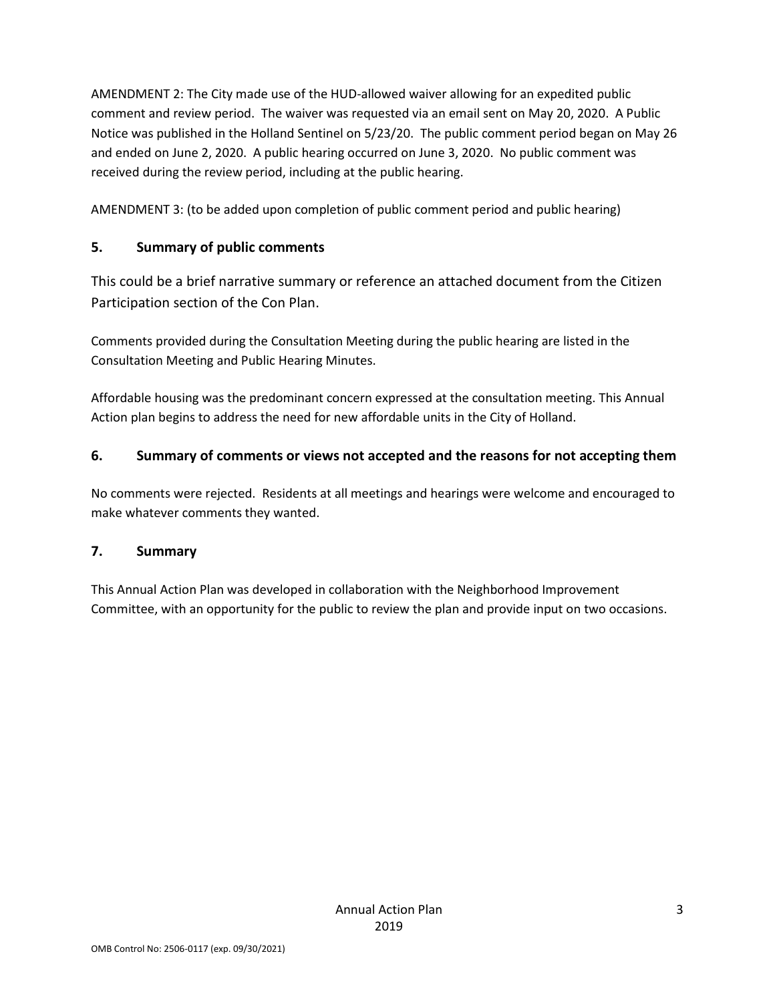AMENDMENT 2: The City made use of the HUD-allowed waiver allowing for an expedited public comment and review period. The waiver was requested via an email sent on May 20, 2020. A Public Notice was published in the Holland Sentinel on 5/23/20. The public comment period began on May 26 and ended on June 2, 2020. A public hearing occurred on June 3, 2020. No public comment was received during the review period, including at the public hearing.

AMENDMENT 3: (to be added upon completion of public comment period and public hearing)

### **5. Summary of public comments**

This could be a brief narrative summary or reference an attached document from the Citizen Participation section of the Con Plan.

Comments provided during the Consultation Meeting during the public hearing are listed in the Consultation Meeting and Public Hearing Minutes.

Affordable housing was the predominant concern expressed at the consultation meeting. This Annual Action plan begins to address the need for new affordable units in the City of Holland.

### **6. Summary of comments or views not accepted and the reasons for not accepting them**

No comments were rejected. Residents at all meetings and hearings were welcome and encouraged to make whatever comments they wanted.

### **7. Summary**

This Annual Action Plan was developed in collaboration with the Neighborhood Improvement Committee, with an opportunity for the public to review the plan and provide input on two occasions.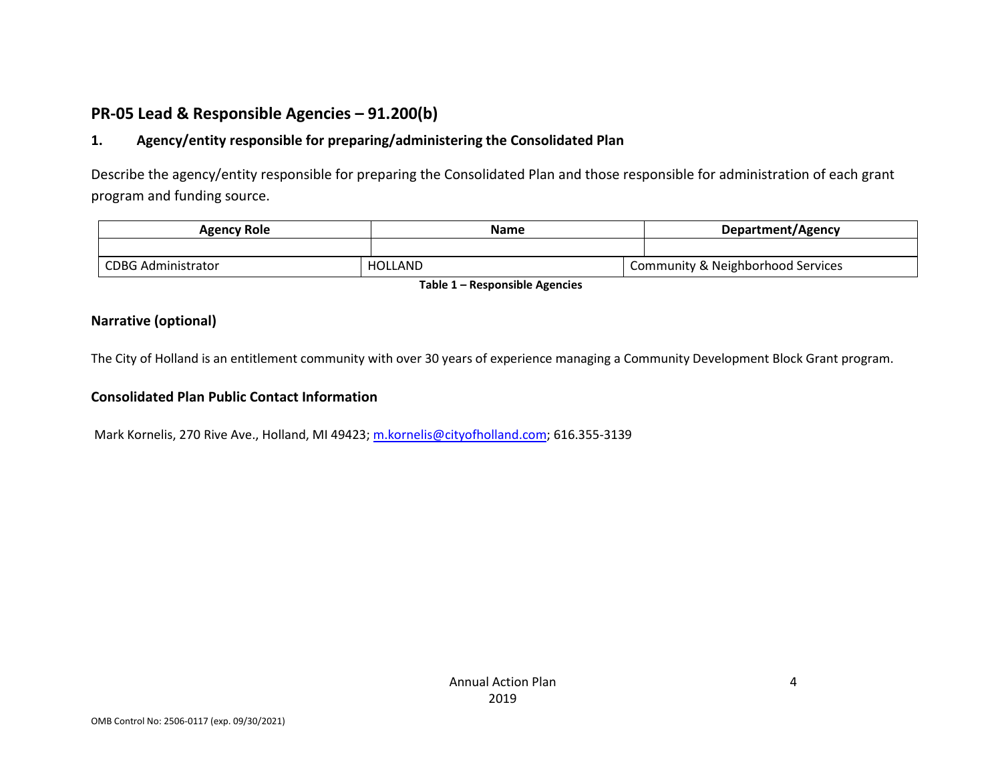### **PR-05 Lead & Responsible Agencies – 91.200(b)**

### **1. Agency/entity responsible for preparing/administering the Consolidated Plan**

Describe the agency/entity responsible for preparing the Consolidated Plan and those responsible for administration of each grant program and funding source.

| Agency Role               | Name           | Department/Agency                 |  |
|---------------------------|----------------|-----------------------------------|--|
|                           |                |                                   |  |
| <b>CDBG Administrator</b> | <b>HOLLAND</b> | Community & Neighborhood Services |  |

**Table 1 – Responsible Agencies**

#### **Narrative (optional)**

The City of Holland is an entitlement community with over 30 years of experience managing a Community Development Block Grant program.

#### **Consolidated Plan Public Contact Information**

Mark Kornelis, 270 Rive Ave., Holland, MI 49423; [m.kornelis@cityofholland.com;](mailto:m.kornelis@cityofholland.com) 616.355-3139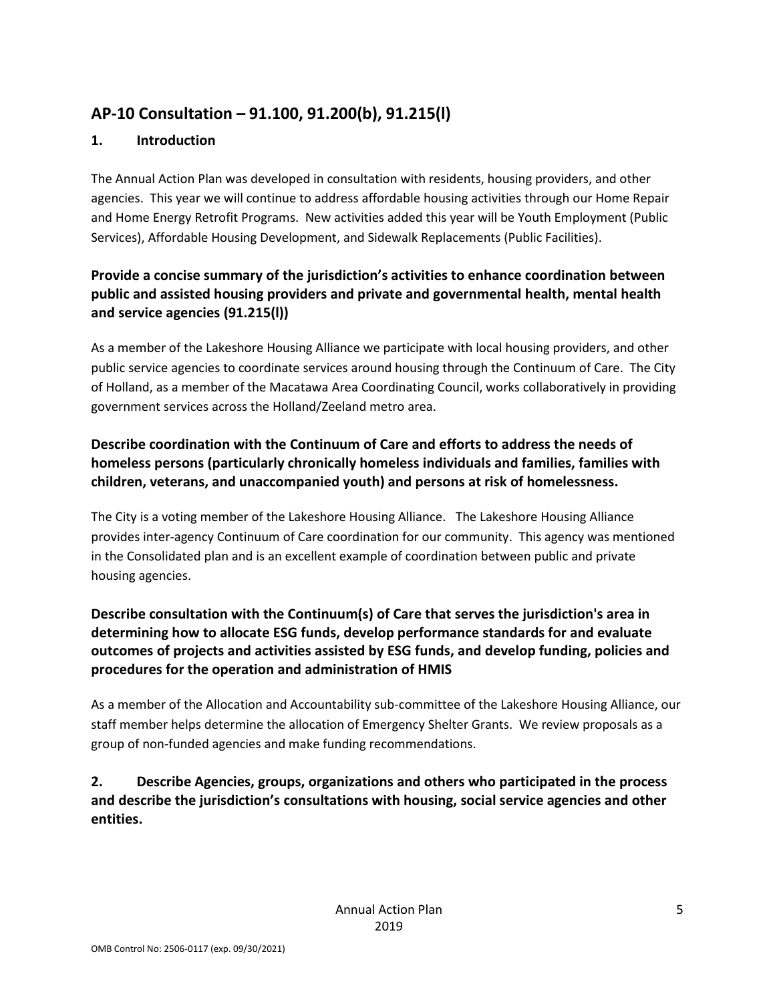### **AP-10 Consultation – 91.100, 91.200(b), 91.215(l)**

### **1. Introduction**

The Annual Action Plan was developed in consultation with residents, housing providers, and other agencies. This year we will continue to address affordable housing activities through our Home Repair and Home Energy Retrofit Programs. New activities added this year will be Youth Employment (Public Services), Affordable Housing Development, and Sidewalk Replacements (Public Facilities).

### **Provide a concise summary of the jurisdiction's activities to enhance coordination between public and assisted housing providers and private and governmental health, mental health and service agencies (91.215(l))**

As a member of the Lakeshore Housing Alliance we participate with local housing providers, and other public service agencies to coordinate services around housing through the Continuum of Care. The City of Holland, as a member of the Macatawa Area Coordinating Council, works collaboratively in providing government services across the Holland/Zeeland metro area.

### **Describe coordination with the Continuum of Care and efforts to address the needs of homeless persons (particularly chronically homeless individuals and families, families with children, veterans, and unaccompanied youth) and persons at risk of homelessness.**

The City is a voting member of the Lakeshore Housing Alliance. The Lakeshore Housing Alliance provides inter-agency Continuum of Care coordination for our community. This agency was mentioned in the Consolidated plan and is an excellent example of coordination between public and private housing agencies.

### **Describe consultation with the Continuum(s) of Care that serves the jurisdiction's area in determining how to allocate ESG funds, develop performance standards for and evaluate outcomes of projects and activities assisted by ESG funds, and develop funding, policies and procedures for the operation and administration of HMIS**

As a member of the Allocation and Accountability sub-committee of the Lakeshore Housing Alliance, our staff member helps determine the allocation of Emergency Shelter Grants. We review proposals as a group of non-funded agencies and make funding recommendations.

**2. Describe Agencies, groups, organizations and others who participated in the process and describe the jurisdiction's consultations with housing, social service agencies and other entities.**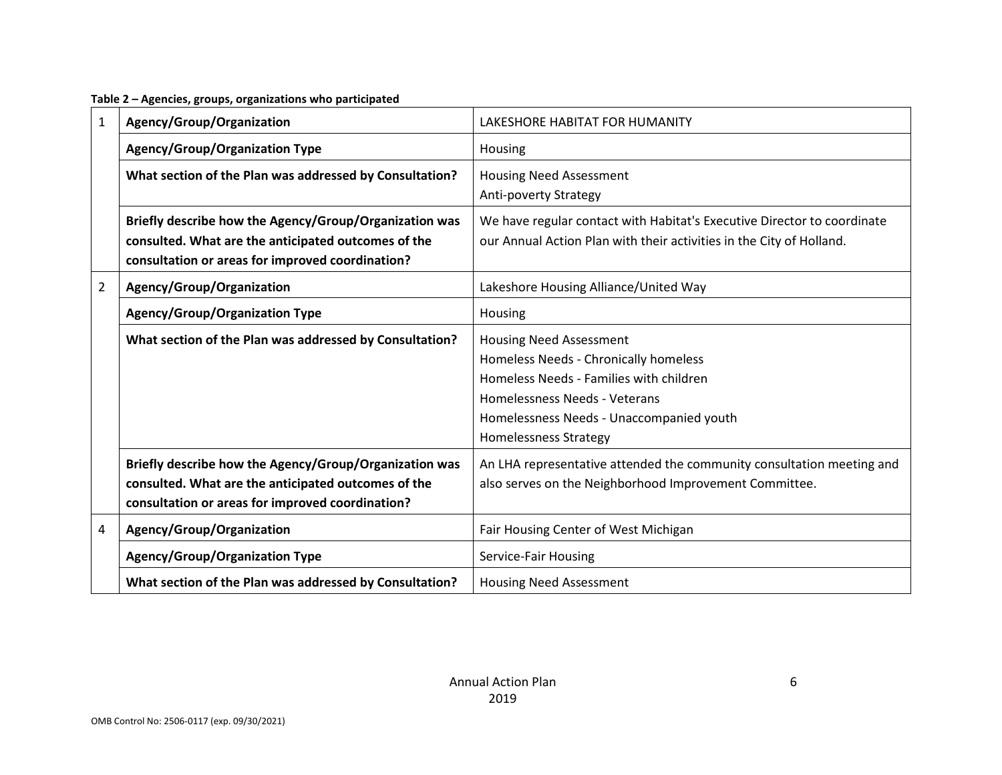**Table 2 – Agencies, groups, organizations who participated**

| $\mathbf 1$    | Agency/Group/Organization                                                                                                                                         | LAKESHORE HABITAT FOR HUMANITY                                                                                                                                                                                           |
|----------------|-------------------------------------------------------------------------------------------------------------------------------------------------------------------|--------------------------------------------------------------------------------------------------------------------------------------------------------------------------------------------------------------------------|
|                | <b>Agency/Group/Organization Type</b>                                                                                                                             | Housing                                                                                                                                                                                                                  |
|                | What section of the Plan was addressed by Consultation?                                                                                                           | <b>Housing Need Assessment</b><br><b>Anti-poverty Strategy</b>                                                                                                                                                           |
|                | Briefly describe how the Agency/Group/Organization was<br>consulted. What are the anticipated outcomes of the<br>consultation or areas for improved coordination? | We have regular contact with Habitat's Executive Director to coordinate<br>our Annual Action Plan with their activities in the City of Holland.                                                                          |
| $\overline{2}$ | Agency/Group/Organization                                                                                                                                         | Lakeshore Housing Alliance/United Way                                                                                                                                                                                    |
|                | <b>Agency/Group/Organization Type</b>                                                                                                                             | Housing                                                                                                                                                                                                                  |
|                | What section of the Plan was addressed by Consultation?                                                                                                           | <b>Housing Need Assessment</b><br>Homeless Needs - Chronically homeless<br>Homeless Needs - Families with children<br>Homelessness Needs - Veterans<br>Homelessness Needs - Unaccompanied youth<br>Homelessness Strategy |
|                | Briefly describe how the Agency/Group/Organization was<br>consulted. What are the anticipated outcomes of the<br>consultation or areas for improved coordination? | An LHA representative attended the community consultation meeting and<br>also serves on the Neighborhood Improvement Committee.                                                                                          |
| 4              | Agency/Group/Organization                                                                                                                                         | Fair Housing Center of West Michigan                                                                                                                                                                                     |
|                | <b>Agency/Group/Organization Type</b>                                                                                                                             | Service-Fair Housing                                                                                                                                                                                                     |
|                | What section of the Plan was addressed by Consultation?                                                                                                           | <b>Housing Need Assessment</b>                                                                                                                                                                                           |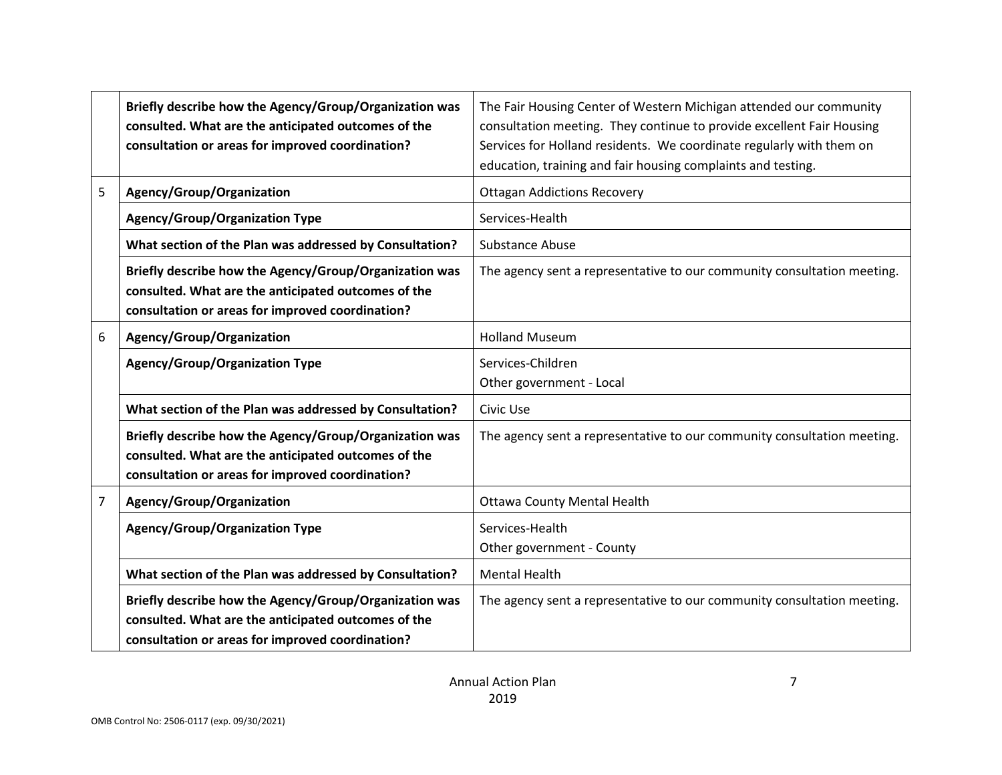|                | Briefly describe how the Agency/Group/Organization was<br>consulted. What are the anticipated outcomes of the<br>consultation or areas for improved coordination? | The Fair Housing Center of Western Michigan attended our community<br>consultation meeting. They continue to provide excellent Fair Housing<br>Services for Holland residents. We coordinate regularly with them on<br>education, training and fair housing complaints and testing. |
|----------------|-------------------------------------------------------------------------------------------------------------------------------------------------------------------|-------------------------------------------------------------------------------------------------------------------------------------------------------------------------------------------------------------------------------------------------------------------------------------|
| 5              | Agency/Group/Organization                                                                                                                                         | <b>Ottagan Addictions Recovery</b>                                                                                                                                                                                                                                                  |
|                | <b>Agency/Group/Organization Type</b>                                                                                                                             | Services-Health                                                                                                                                                                                                                                                                     |
|                | What section of the Plan was addressed by Consultation?                                                                                                           | Substance Abuse                                                                                                                                                                                                                                                                     |
|                | Briefly describe how the Agency/Group/Organization was<br>consulted. What are the anticipated outcomes of the<br>consultation or areas for improved coordination? | The agency sent a representative to our community consultation meeting.                                                                                                                                                                                                             |
| 6              | Agency/Group/Organization                                                                                                                                         | <b>Holland Museum</b>                                                                                                                                                                                                                                                               |
|                | <b>Agency/Group/Organization Type</b>                                                                                                                             | Services-Children<br>Other government - Local                                                                                                                                                                                                                                       |
|                | What section of the Plan was addressed by Consultation?                                                                                                           | Civic Use                                                                                                                                                                                                                                                                           |
|                | Briefly describe how the Agency/Group/Organization was<br>consulted. What are the anticipated outcomes of the<br>consultation or areas for improved coordination? | The agency sent a representative to our community consultation meeting.                                                                                                                                                                                                             |
| $\overline{7}$ | Agency/Group/Organization                                                                                                                                         | <b>Ottawa County Mental Health</b>                                                                                                                                                                                                                                                  |
|                | <b>Agency/Group/Organization Type</b>                                                                                                                             | Services-Health<br>Other government - County                                                                                                                                                                                                                                        |
|                | What section of the Plan was addressed by Consultation?                                                                                                           | <b>Mental Health</b>                                                                                                                                                                                                                                                                |
|                | Briefly describe how the Agency/Group/Organization was<br>consulted. What are the anticipated outcomes of the<br>consultation or areas for improved coordination? | The agency sent a representative to our community consultation meeting.                                                                                                                                                                                                             |

7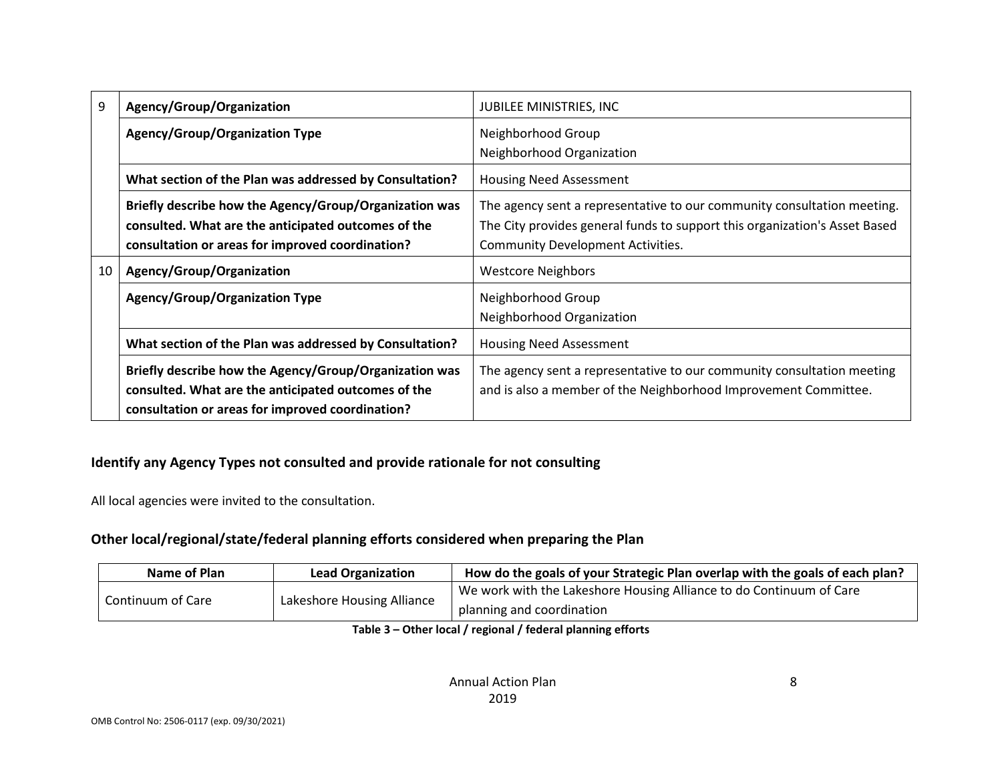| 9  | Agency/Group/Organization                               | <b>JUBILEE MINISTRIES, INC</b>                                             |
|----|---------------------------------------------------------|----------------------------------------------------------------------------|
|    | <b>Agency/Group/Organization Type</b>                   | Neighborhood Group                                                         |
|    |                                                         | Neighborhood Organization                                                  |
|    | What section of the Plan was addressed by Consultation? | <b>Housing Need Assessment</b>                                             |
|    | Briefly describe how the Agency/Group/Organization was  | The agency sent a representative to our community consultation meeting.    |
|    | consulted. What are the anticipated outcomes of the     | The City provides general funds to support this organization's Asset Based |
|    | consultation or areas for improved coordination?        | <b>Community Development Activities.</b>                                   |
| 10 | Agency/Group/Organization                               | <b>Westcore Neighbors</b>                                                  |
|    | <b>Agency/Group/Organization Type</b>                   | Neighborhood Group                                                         |
|    |                                                         | Neighborhood Organization                                                  |
|    | What section of the Plan was addressed by Consultation? | <b>Housing Need Assessment</b>                                             |
|    | Briefly describe how the Agency/Group/Organization was  | The agency sent a representative to our community consultation meeting     |
|    | consulted. What are the anticipated outcomes of the     | and is also a member of the Neighborhood Improvement Committee.            |
|    | consultation or areas for improved coordination?        |                                                                            |

### **Identify any Agency Types not consulted and provide rationale for not consulting**

All local agencies were invited to the consultation.

### **Other local/regional/state/federal planning efforts considered when preparing the Plan**

| Name of Plan      | <b>Lead Organization</b>   | How do the goals of your Strategic Plan overlap with the goals of each plan? |
|-------------------|----------------------------|------------------------------------------------------------------------------|
| Continuum of Care |                            | We work with the Lakeshore Housing Alliance to do Continuum of Care          |
|                   | Lakeshore Housing Alliance | planning and coordination                                                    |

**Table 3 – Other local / regional / federal planning efforts**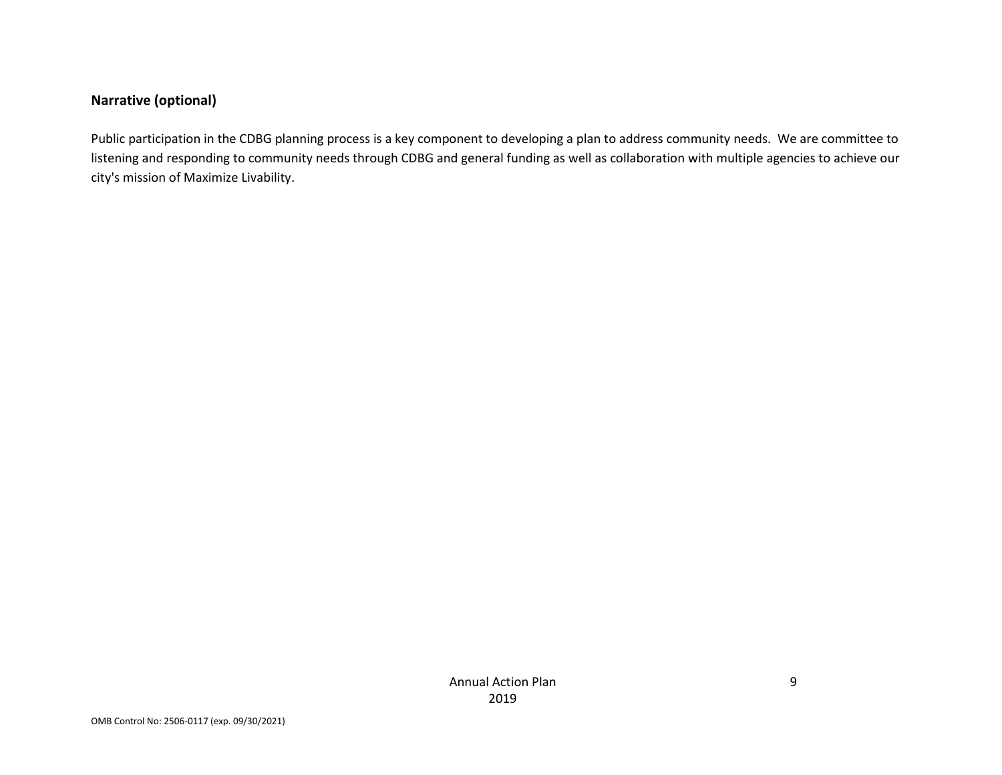### **Narrative (optional)**

Public participation in the CDBG planning process is a key component to developing a plan to address community needs. We are committee to listening and responding to community needs through CDBG and general funding as well as collaboration with multiple agencies to achieve our city's mission of Maximize Livability.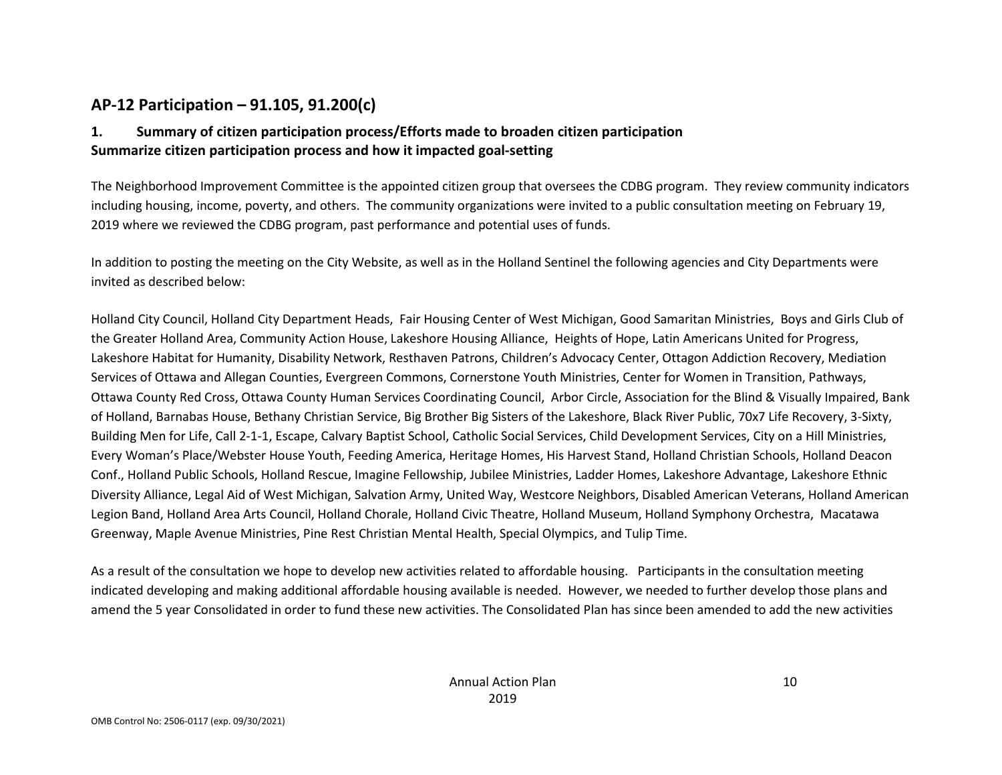### **AP-12 Participation – 91.105, 91.200(c)**

### **1. Summary of citizen participation process/Efforts made to broaden citizen participation Summarize citizen participation process and how it impacted goal-setting**

The Neighborhood Improvement Committee is the appointed citizen group that oversees the CDBG program. They review community indicators including housing, income, poverty, and others. The community organizations were invited to a public consultation meeting on February 19, 2019 where we reviewed the CDBG program, past performance and potential uses of funds.

In addition to posting the meeting on the City Website, as well as in the Holland Sentinel the following agencies and City Departments were invited as described below:

Holland City Council, Holland City Department Heads, Fair Housing Center of West Michigan, Good Samaritan Ministries, Boys and Girls Club of the Greater Holland Area, Community Action House, Lakeshore Housing Alliance, Heights of Hope, Latin Americans United for Progress, Lakeshore Habitat for Humanity, Disability Network, Resthaven Patrons, Children's Advocacy Center, Ottagon Addiction Recovery, Mediation Services of Ottawa and Allegan Counties, Evergreen Commons, Cornerstone Youth Ministries, Center for Women in Transition, Pathways, Ottawa County Red Cross, Ottawa County Human Services Coordinating Council, Arbor Circle, Association for the Blind & Visually Impaired, Bank of Holland, Barnabas House, Bethany Christian Service, Big Brother Big Sisters of the Lakeshore, Black River Public, 70x7 Life Recovery, 3-Sixty, Building Men for Life, Call 2-1-1, Escape, Calvary Baptist School, Catholic Social Services, Child Development Services, City on a Hill Ministries, Every Woman's Place/Webster House Youth, Feeding America, Heritage Homes, His Harvest Stand, Holland Christian Schools, Holland Deacon Conf., Holland Public Schools, Holland Rescue, Imagine Fellowship, Jubilee Ministries, Ladder Homes, Lakeshore Advantage, Lakeshore Ethnic Diversity Alliance, Legal Aid of West Michigan, Salvation Army, United Way, Westcore Neighbors, Disabled American Veterans, Holland American Legion Band, Holland Area Arts Council, Holland Chorale, Holland Civic Theatre, Holland Museum, Holland Symphony Orchestra, Macatawa Greenway, Maple Avenue Ministries, Pine Rest Christian Mental Health, Special Olympics, and Tulip Time.

As a result of the consultation we hope to develop new activities related to affordable housing. Participants in the consultation meeting indicated developing and making additional affordable housing available is needed. However, we needed to further develop those plans and amend the 5 year Consolidated in order to fund these new activities. The Consolidated Plan has since been amended to add the new activities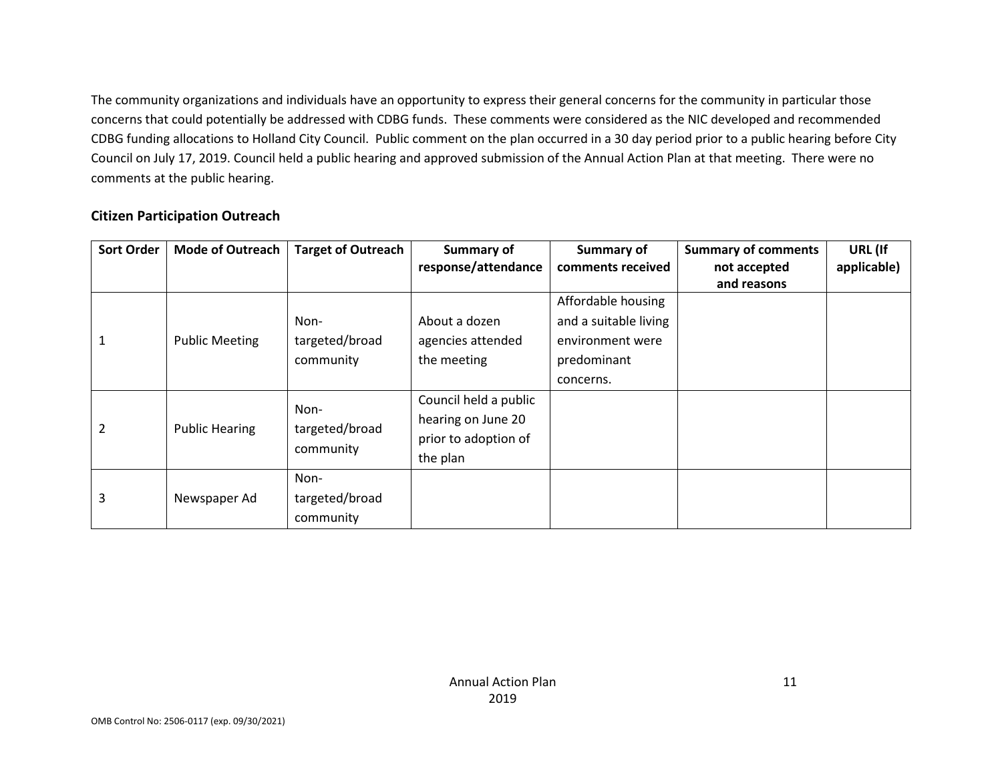The community organizations and individuals have an opportunity to express their general concerns for the community in particular those concerns that could potentially be addressed with CDBG funds. These comments were considered as the NIC developed and recommended CDBG funding allocations to Holland City Council. Public comment on the plan occurred in a 30 day period prior to a public hearing before City Council on July 17, 2019. Council held a public hearing and approved submission of the Annual Action Plan at that meeting. There were no comments at the public hearing.

#### **Citizen Participation Outreach**

| <b>Sort Order</b> | <b>Mode of Outreach</b> | <b>Target of Outreach</b> | Summary of            | Summary of            | <b>Summary of comments</b> | URL (If     |
|-------------------|-------------------------|---------------------------|-----------------------|-----------------------|----------------------------|-------------|
|                   |                         |                           | response/attendance   | comments received     | not accepted               | applicable) |
|                   |                         |                           |                       |                       | and reasons                |             |
|                   |                         |                           |                       | Affordable housing    |                            |             |
|                   |                         | Non-                      | About a dozen         | and a suitable living |                            |             |
|                   | <b>Public Meeting</b>   | targeted/broad            | agencies attended     | environment were      |                            |             |
|                   |                         | community                 | the meeting           | predominant           |                            |             |
|                   |                         |                           |                       | concerns.             |                            |             |
|                   |                         | Non-                      | Council held a public |                       |                            |             |
|                   |                         |                           | hearing on June 20    |                       |                            |             |
|                   | <b>Public Hearing</b>   | targeted/broad            | prior to adoption of  |                       |                            |             |
|                   |                         | community                 | the plan              |                       |                            |             |
|                   |                         | Non-                      |                       |                       |                            |             |
| 3                 | Newspaper Ad            | targeted/broad            |                       |                       |                            |             |
|                   |                         | community                 |                       |                       |                            |             |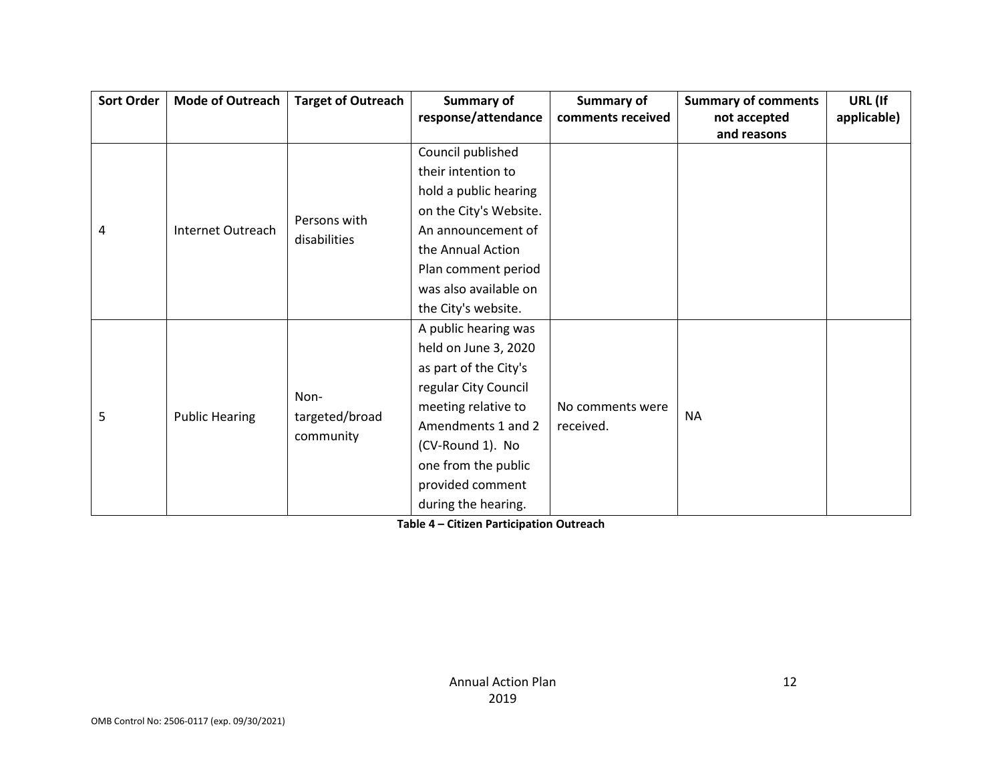| <b>Sort Order</b> | <b>Mode of Outreach</b> | <b>Target of Outreach</b> | Summary of             | Summary of        | <b>Summary of comments</b> | URL (If     |
|-------------------|-------------------------|---------------------------|------------------------|-------------------|----------------------------|-------------|
|                   |                         |                           | response/attendance    | comments received | not accepted               | applicable) |
|                   |                         |                           |                        |                   | and reasons                |             |
|                   |                         |                           | Council published      |                   |                            |             |
|                   |                         |                           | their intention to     |                   |                            |             |
|                   |                         |                           | hold a public hearing  |                   |                            |             |
|                   |                         | Persons with              | on the City's Website. |                   |                            |             |
| 4                 | Internet Outreach       | disabilities              | An announcement of     |                   |                            |             |
|                   |                         |                           | the Annual Action      |                   |                            |             |
|                   |                         |                           | Plan comment period    |                   |                            |             |
|                   |                         |                           | was also available on  |                   |                            |             |
|                   |                         |                           | the City's website.    |                   |                            |             |
|                   |                         |                           | A public hearing was   |                   |                            |             |
|                   |                         |                           | held on June 3, 2020   |                   |                            |             |
|                   |                         |                           | as part of the City's  |                   |                            |             |
|                   |                         |                           | regular City Council   |                   |                            |             |
|                   |                         | Non-                      | meeting relative to    | No comments were  |                            |             |
| 5                 | <b>Public Hearing</b>   | targeted/broad            | Amendments 1 and 2     | received.         | <b>NA</b>                  |             |
|                   |                         | community                 | (CV-Round 1). No       |                   |                            |             |
|                   |                         |                           | one from the public    |                   |                            |             |
|                   |                         |                           | provided comment       |                   |                            |             |
|                   |                         |                           | during the hearing.    |                   |                            |             |

**Table 4 – Citizen Participation Outreach**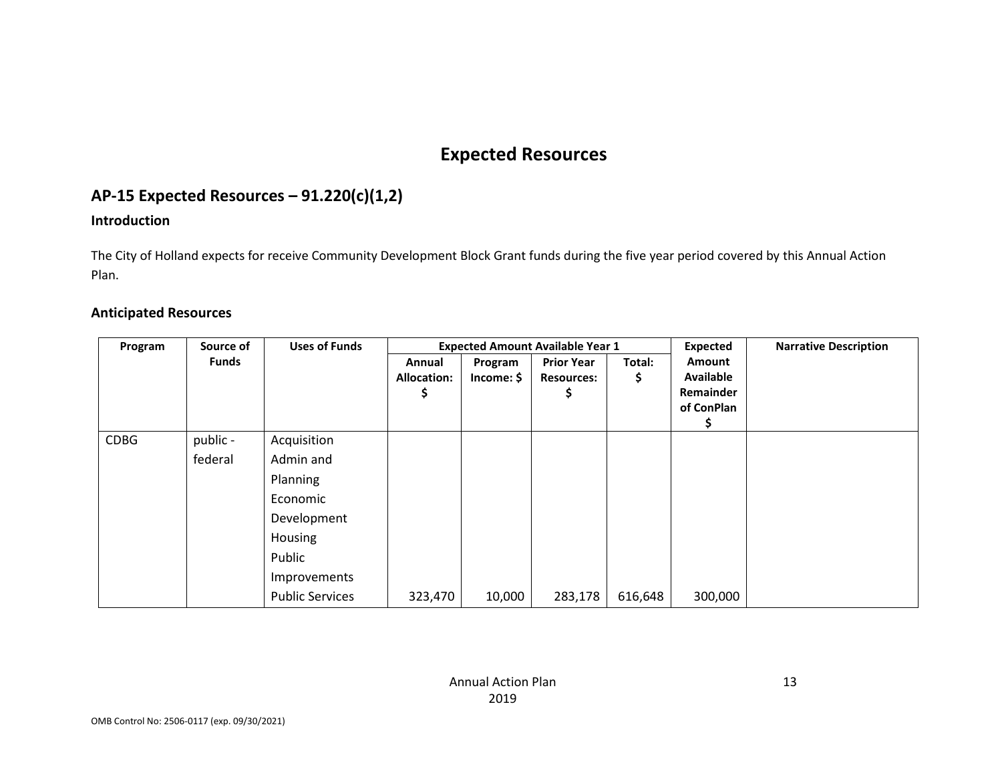### **Expected Resources**

### **AP-15 Expected Resources – 91.220(c)(1,2)**

#### **Introduction**

The City of Holland expects for receive Community Development Block Grant funds during the five year period covered by this Annual Action Plan.

#### **Anticipated Resources**

| Program     | Source of           | <b>Uses of Funds</b>                                                                                                           |                                   |                       | <b>Expected Amount Available Year 1</b>     | <b>Expected</b> | <b>Narrative Description</b>                                      |  |
|-------------|---------------------|--------------------------------------------------------------------------------------------------------------------------------|-----------------------------------|-----------------------|---------------------------------------------|-----------------|-------------------------------------------------------------------|--|
|             | <b>Funds</b>        |                                                                                                                                | Annual<br><b>Allocation:</b><br>Ş | Program<br>Income: \$ | <b>Prior Year</b><br><b>Resources:</b><br>১ | Total:<br>\$    | <b>Amount</b><br><b>Available</b><br>Remainder<br>of ConPlan<br>5 |  |
| <b>CDBG</b> | public -<br>federal | Acquisition<br>Admin and<br>Planning<br>Economic<br>Development<br>Housing<br>Public<br>Improvements<br><b>Public Services</b> | 323,470                           | 10,000                | 283,178                                     | 616,648         | 300,000                                                           |  |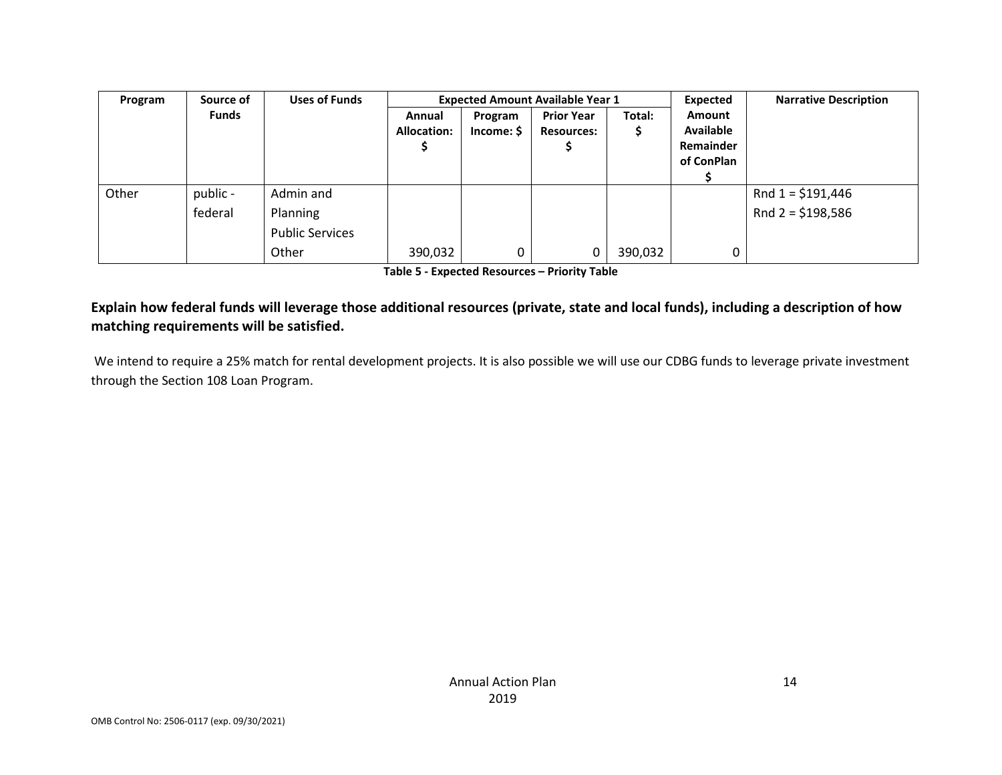| Program | Source of           | <b>Uses of Funds</b>                            | <b>Expected Amount Available Year 1</b> |                       |                                        |         | Expected                                                     | <b>Narrative Description</b>             |
|---------|---------------------|-------------------------------------------------|-----------------------------------------|-----------------------|----------------------------------------|---------|--------------------------------------------------------------|------------------------------------------|
|         | <b>Funds</b>        |                                                 | Annual<br><b>Allocation:</b>            | Program<br>Income: \$ | <b>Prior Year</b><br><b>Resources:</b> | Total:  | <b>Amount</b><br><b>Available</b><br>Remainder<br>of ConPlan |                                          |
| Other   | public -<br>federal | Admin and<br>Planning<br><b>Public Services</b> |                                         |                       |                                        |         |                                                              | Rnd $1 = $191,446$<br>Rnd $2 = $198,586$ |
|         |                     | Other                                           | 390,032                                 | 0                     |                                        | 390,032 | 0                                                            |                                          |

**Table 5 - Expected Resources – Priority Table**

### **Explain how federal funds will leverage those additional resources (private, state and local funds), including a description of how matching requirements will be satisfied.**

We intend to require a 25% match for rental development projects. It is also possible we will use our CDBG funds to leverage private investment through the Section 108 Loan Program.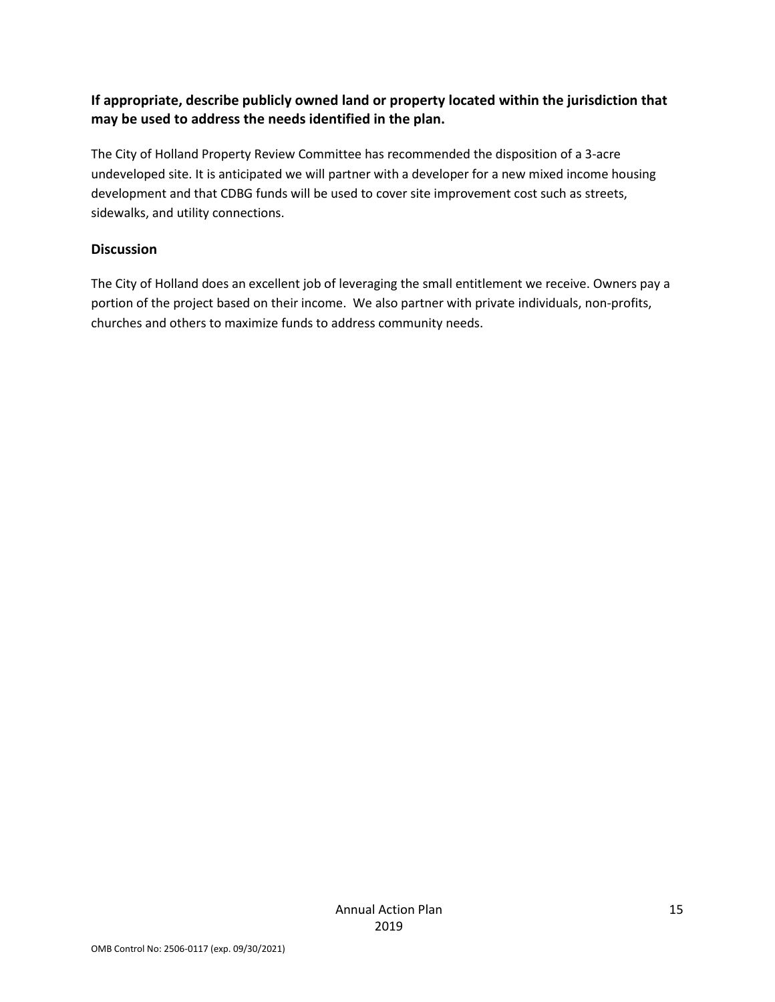### **If appropriate, describe publicly owned land or property located within the jurisdiction that may be used to address the needs identified in the plan.**

The City of Holland Property Review Committee has recommended the disposition of a 3-acre undeveloped site. It is anticipated we will partner with a developer for a new mixed income housing development and that CDBG funds will be used to cover site improvement cost such as streets, sidewalks, and utility connections.

### **Discussion**

The City of Holland does an excellent job of leveraging the small entitlement we receive. Owners pay a portion of the project based on their income. We also partner with private individuals, non-profits, churches and others to maximize funds to address community needs.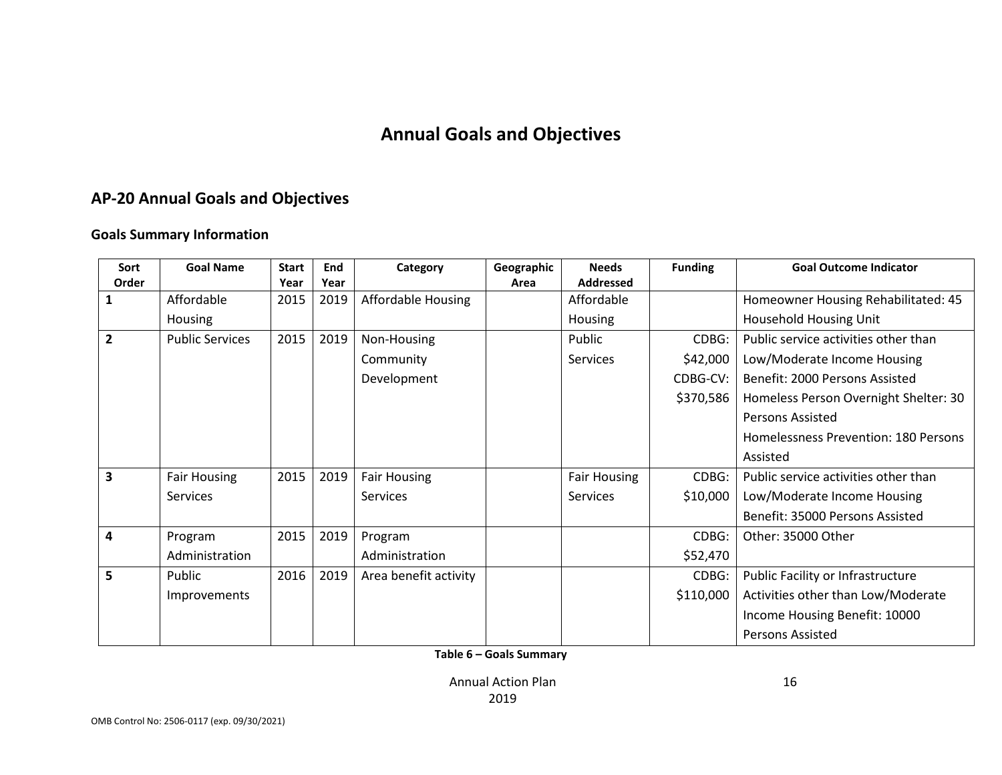## **Annual Goals and Objectives**

### **AP-20 Annual Goals and Objectives**

#### **Goals Summary Information**

| Sort  | <b>Goal Name</b>       | <b>Start</b> | End  | Category                  | Geographic | <b>Needs</b>        | <b>Funding</b> | <b>Goal Outcome Indicator</b>         |
|-------|------------------------|--------------|------|---------------------------|------------|---------------------|----------------|---------------------------------------|
| Order |                        | Year         | Year |                           | Area       | Addressed           |                |                                       |
|       | Affordable             | 2015         | 2019 | <b>Affordable Housing</b> |            | Affordable          |                | Homeowner Housing Rehabilitated: 45   |
|       | <b>Housing</b>         |              |      |                           |            | Housing             |                | Household Housing Unit                |
| 2     | <b>Public Services</b> | 2015         | 2019 | Non-Housing               |            | Public              | CDBG:          | Public service activities other than  |
|       |                        |              |      | Community                 |            | <b>Services</b>     | \$42,000       | Low/Moderate Income Housing           |
|       |                        |              |      | Development               |            |                     | CDBG-CV:       | Benefit: 2000 Persons Assisted        |
|       |                        |              |      |                           |            |                     | \$370,586      | Homeless Person Overnight Shelter: 30 |
|       |                        |              |      |                           |            |                     |                | <b>Persons Assisted</b>               |
|       |                        |              |      |                           |            |                     |                | Homelessness Prevention: 180 Persons  |
|       |                        |              |      |                           |            |                     |                | Assisted                              |
| 3     | <b>Fair Housing</b>    | 2015         | 2019 | <b>Fair Housing</b>       |            | <b>Fair Housing</b> | CDBG:          | Public service activities other than  |
|       | <b>Services</b>        |              |      | <b>Services</b>           |            | <b>Services</b>     | \$10,000       | Low/Moderate Income Housing           |
|       |                        |              |      |                           |            |                     |                | Benefit: 35000 Persons Assisted       |
| 4     | Program                | 2015         | 2019 | Program                   |            |                     | CDBG:          | Other: 35000 Other                    |
|       | Administration         |              |      | Administration            |            |                     | \$52,470       |                                       |
| 5     | Public                 | 2016         | 2019 | Area benefit activity     |            |                     | CDBG:          | Public Facility or Infrastructure     |
|       | Improvements           |              |      |                           |            |                     | \$110,000      | Activities other than Low/Moderate    |
|       |                        |              |      |                           |            |                     |                | Income Housing Benefit: 10000         |
|       |                        |              |      |                           |            |                     |                | Persons Assisted                      |

**Table 6 – Goals Summary**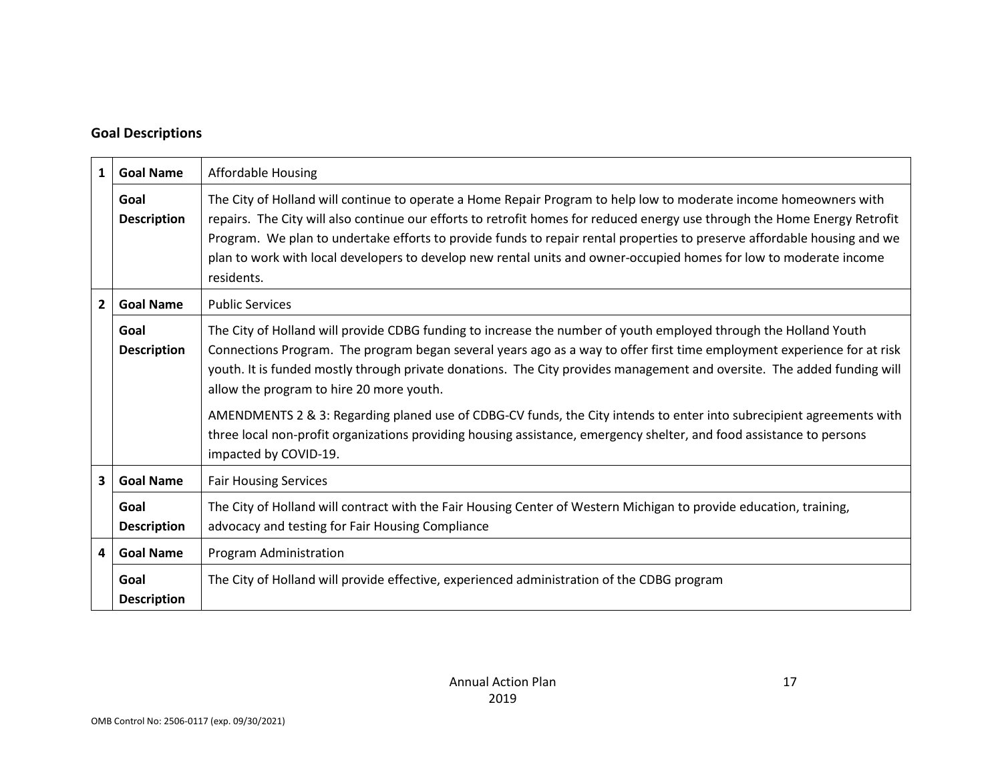### **Goal Descriptions**

| $\mathbf{1}$            | <b>Goal Name</b>           | Affordable Housing                                                                                                                                                                                                                                                                                                                                                                                                                                                                                              |
|-------------------------|----------------------------|-----------------------------------------------------------------------------------------------------------------------------------------------------------------------------------------------------------------------------------------------------------------------------------------------------------------------------------------------------------------------------------------------------------------------------------------------------------------------------------------------------------------|
|                         | Goal<br><b>Description</b> | The City of Holland will continue to operate a Home Repair Program to help low to moderate income homeowners with<br>repairs. The City will also continue our efforts to retrofit homes for reduced energy use through the Home Energy Retrofit<br>Program. We plan to undertake efforts to provide funds to repair rental properties to preserve affordable housing and we<br>plan to work with local developers to develop new rental units and owner-occupied homes for low to moderate income<br>residents. |
| $\overline{2}$          | <b>Goal Name</b>           | <b>Public Services</b>                                                                                                                                                                                                                                                                                                                                                                                                                                                                                          |
|                         | Goal<br><b>Description</b> | The City of Holland will provide CDBG funding to increase the number of youth employed through the Holland Youth<br>Connections Program. The program began several years ago as a way to offer first time employment experience for at risk<br>youth. It is funded mostly through private donations. The City provides management and oversite. The added funding will<br>allow the program to hire 20 more youth.                                                                                              |
|                         |                            | AMENDMENTS 2 & 3: Regarding planed use of CDBG-CV funds, the City intends to enter into subrecipient agreements with<br>three local non-profit organizations providing housing assistance, emergency shelter, and food assistance to persons<br>impacted by COVID-19.                                                                                                                                                                                                                                           |
| $\overline{\mathbf{3}}$ | <b>Goal Name</b>           | <b>Fair Housing Services</b>                                                                                                                                                                                                                                                                                                                                                                                                                                                                                    |
|                         | Goal<br><b>Description</b> | The City of Holland will contract with the Fair Housing Center of Western Michigan to provide education, training,<br>advocacy and testing for Fair Housing Compliance                                                                                                                                                                                                                                                                                                                                          |
| 4                       | <b>Goal Name</b>           | Program Administration                                                                                                                                                                                                                                                                                                                                                                                                                                                                                          |
|                         | Goal<br><b>Description</b> | The City of Holland will provide effective, experienced administration of the CDBG program                                                                                                                                                                                                                                                                                                                                                                                                                      |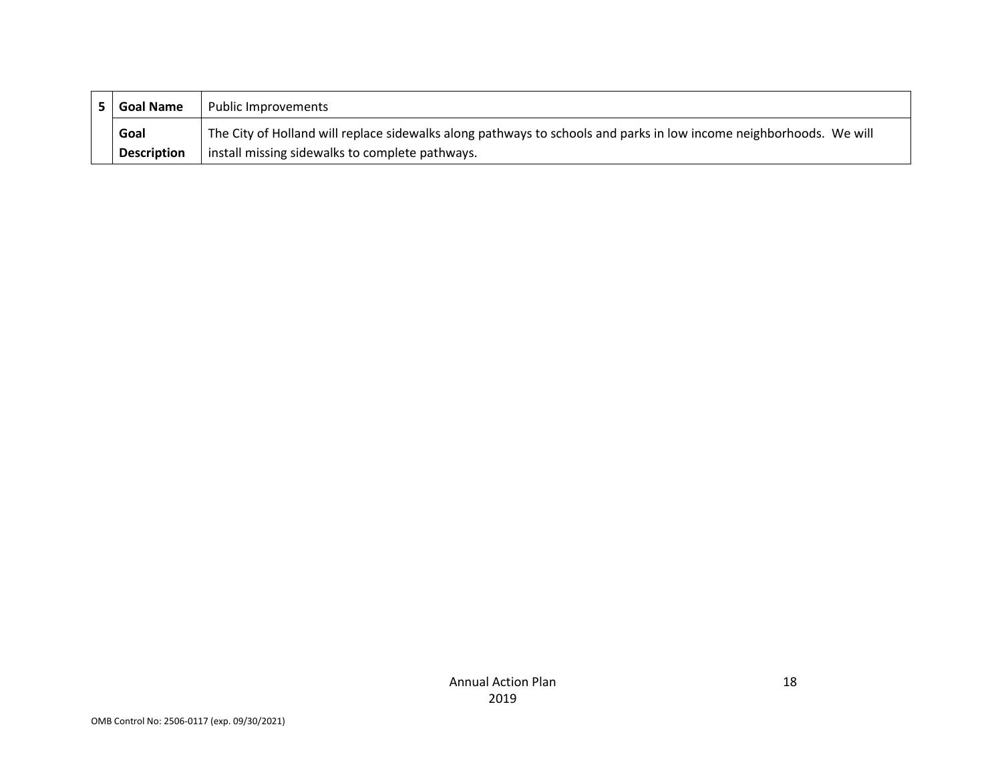| <b>Goal Name</b>   | Public Improvements                                                                                                 |
|--------------------|---------------------------------------------------------------------------------------------------------------------|
| Goal               | The City of Holland will replace sidewalks along pathways to schools and parks in low income neighborhoods. We will |
| <b>Description</b> | install missing sidewalks to complete pathways.                                                                     |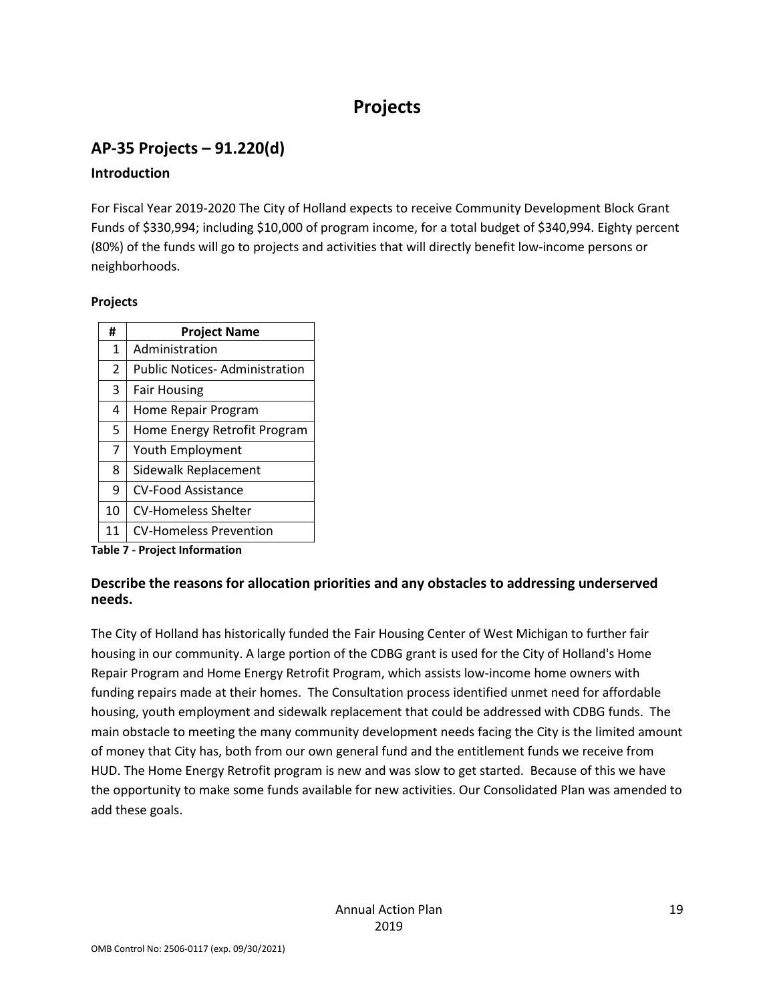### **Projects**

### **AP-35 Projects – 91.220(d)**

### **Introduction**

For Fiscal Year 2019-2020 The City of Holland expects to receive Community Development Block Grant Funds of \$330,994; including \$10,000 of program income, for a total budget of \$340,994. Eighty percent (80%) of the funds will go to projects and activities that will directly benefit low-income persons or neighborhoods.

### **Projects**

| #              | <b>Project Name</b>                  |
|----------------|--------------------------------------|
| $\mathbf{1}$   | Administration                       |
| $\overline{2}$ | <b>Public Notices-Administration</b> |
| 3              | <b>Fair Housing</b>                  |
| 4              | Home Repair Program                  |
| 5              | Home Energy Retrofit Program         |
| 7              | Youth Employment                     |
| 8              | Sidewalk Replacement                 |
| 9              | <b>CV-Food Assistance</b>            |
| 10             | <b>CV-Homeless Shelter</b>           |
| 11             | <b>CV-Homeless Prevention</b>        |

**Table 7 - Project Information**

### **Describe the reasons for allocation priorities and any obstacles to addressing underserved needs.**

The City of Holland has historically funded the Fair Housing Center of West Michigan to further fair housing in our community. A large portion of the CDBG grant is used for the City of Holland's Home Repair Program and Home Energy Retrofit Program, which assists low-income home owners with funding repairs made at their homes. The Consultation process identified unmet need for affordable housing, youth employment and sidewalk replacement that could be addressed with CDBG funds. The main obstacle to meeting the many community development needs facing the City is the limited amount of money that City has, both from our own general fund and the entitlement funds we receive from HUD. The Home Energy Retrofit program is new and was slow to get started. Because of this we have the opportunity to make some funds available for new activities. Our Consolidated Plan was amended to add these goals.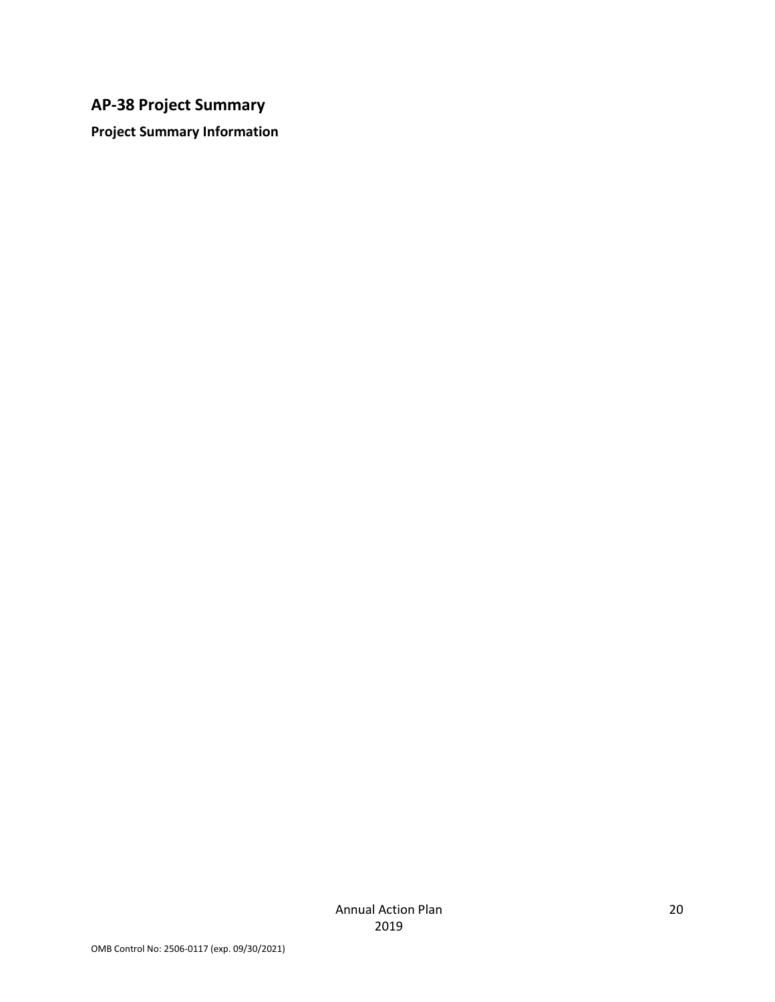### **AP-38 Project Summary**

**Project Summary Information**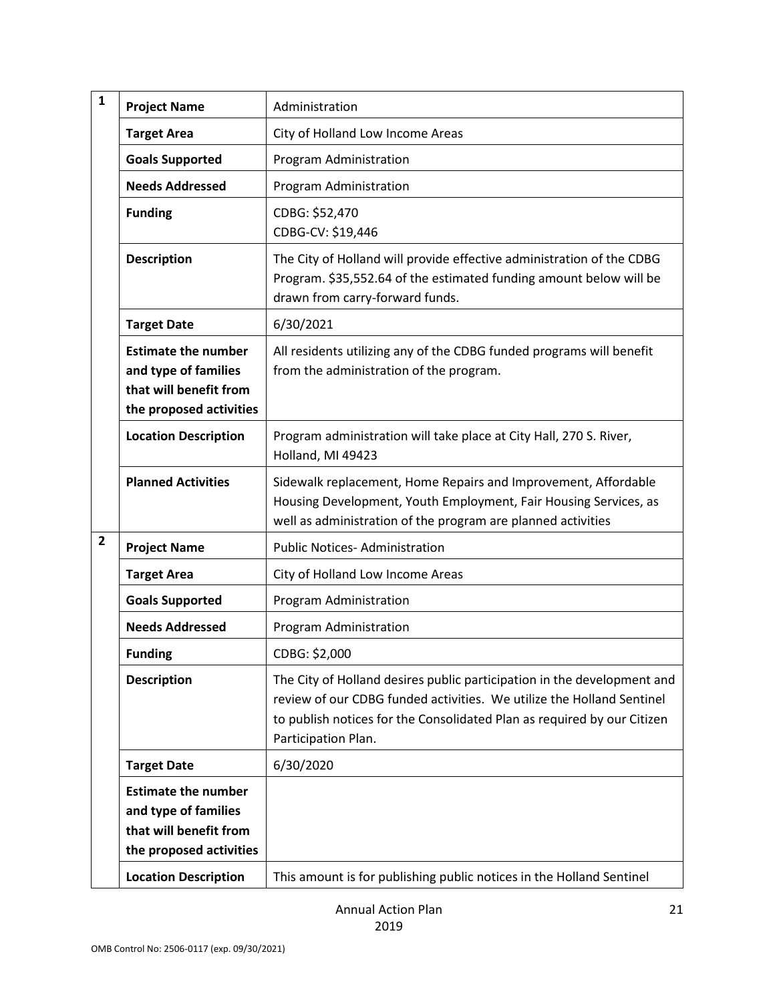| $\mathbf{1}$   | <b>Project Name</b>                                                                                     | Administration                                                                                                                                                                                                                                     |
|----------------|---------------------------------------------------------------------------------------------------------|----------------------------------------------------------------------------------------------------------------------------------------------------------------------------------------------------------------------------------------------------|
|                | <b>Target Area</b>                                                                                      | City of Holland Low Income Areas                                                                                                                                                                                                                   |
|                | <b>Goals Supported</b>                                                                                  | Program Administration                                                                                                                                                                                                                             |
|                | <b>Needs Addressed</b>                                                                                  | Program Administration                                                                                                                                                                                                                             |
|                | <b>Funding</b>                                                                                          | CDBG: \$52,470<br>CDBG-CV: \$19,446                                                                                                                                                                                                                |
|                | <b>Description</b>                                                                                      | The City of Holland will provide effective administration of the CDBG<br>Program. \$35,552.64 of the estimated funding amount below will be<br>drawn from carry-forward funds.                                                                     |
|                | <b>Target Date</b>                                                                                      | 6/30/2021                                                                                                                                                                                                                                          |
|                | <b>Estimate the number</b><br>and type of families<br>that will benefit from<br>the proposed activities | All residents utilizing any of the CDBG funded programs will benefit<br>from the administration of the program.                                                                                                                                    |
|                | <b>Location Description</b>                                                                             | Program administration will take place at City Hall, 270 S. River,<br>Holland, MI 49423                                                                                                                                                            |
|                | <b>Planned Activities</b>                                                                               | Sidewalk replacement, Home Repairs and Improvement, Affordable<br>Housing Development, Youth Employment, Fair Housing Services, as<br>well as administration of the program are planned activities                                                 |
| $\overline{2}$ | <b>Project Name</b>                                                                                     | <b>Public Notices-Administration</b>                                                                                                                                                                                                               |
|                | <b>Target Area</b>                                                                                      | City of Holland Low Income Areas                                                                                                                                                                                                                   |
|                | <b>Goals Supported</b>                                                                                  | Program Administration                                                                                                                                                                                                                             |
|                | <b>Needs Addressed</b>                                                                                  | Program Administration                                                                                                                                                                                                                             |
|                | <b>Funding</b>                                                                                          | CDBG: \$2,000                                                                                                                                                                                                                                      |
|                | <b>Description</b>                                                                                      | The City of Holland desires public participation in the development and<br>review of our CDBG funded activities. We utilize the Holland Sentinel<br>to publish notices for the Consolidated Plan as required by our Citizen<br>Participation Plan. |
|                | <b>Target Date</b>                                                                                      | 6/30/2020                                                                                                                                                                                                                                          |
|                | <b>Estimate the number</b><br>and type of families<br>that will benefit from<br>the proposed activities |                                                                                                                                                                                                                                                    |
|                | <b>Location Description</b>                                                                             | This amount is for publishing public notices in the Holland Sentinel                                                                                                                                                                               |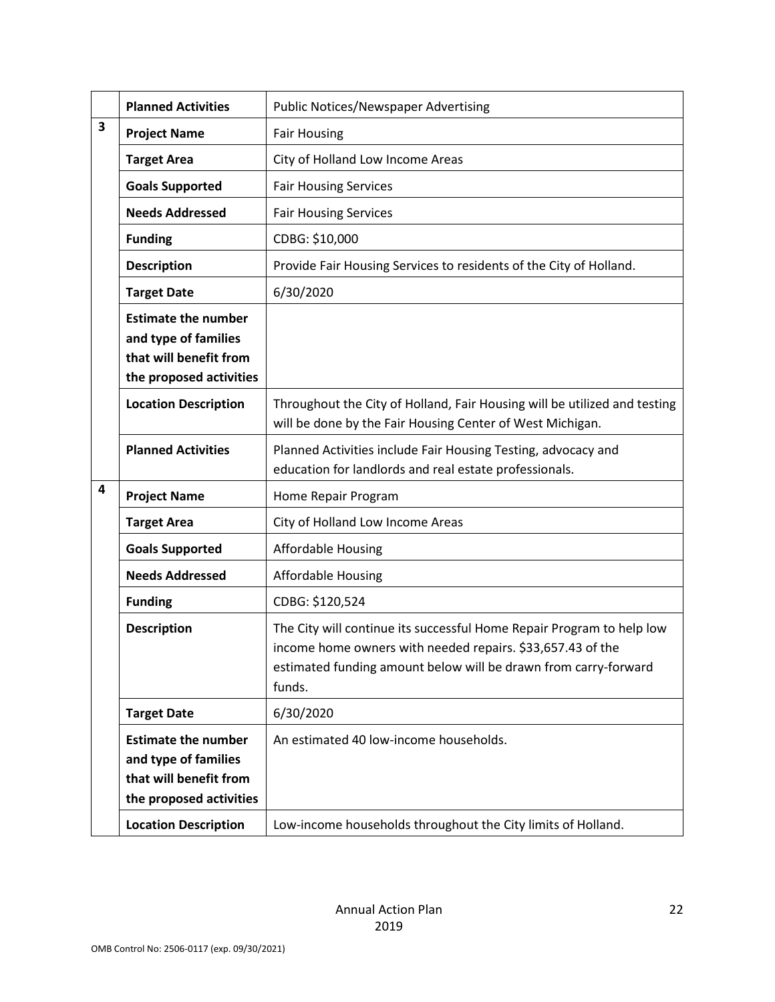|   | <b>Planned Activities</b>                                                                               | <b>Public Notices/Newspaper Advertising</b>                                                                                                                                                                      |
|---|---------------------------------------------------------------------------------------------------------|------------------------------------------------------------------------------------------------------------------------------------------------------------------------------------------------------------------|
| 3 | <b>Project Name</b>                                                                                     | <b>Fair Housing</b>                                                                                                                                                                                              |
|   | <b>Target Area</b>                                                                                      | City of Holland Low Income Areas                                                                                                                                                                                 |
|   | <b>Goals Supported</b>                                                                                  | <b>Fair Housing Services</b>                                                                                                                                                                                     |
|   | <b>Needs Addressed</b>                                                                                  | <b>Fair Housing Services</b>                                                                                                                                                                                     |
|   | <b>Funding</b>                                                                                          | CDBG: \$10,000                                                                                                                                                                                                   |
|   | <b>Description</b>                                                                                      | Provide Fair Housing Services to residents of the City of Holland.                                                                                                                                               |
|   | <b>Target Date</b>                                                                                      | 6/30/2020                                                                                                                                                                                                        |
|   | <b>Estimate the number</b><br>and type of families<br>that will benefit from<br>the proposed activities |                                                                                                                                                                                                                  |
|   | <b>Location Description</b>                                                                             | Throughout the City of Holland, Fair Housing will be utilized and testing<br>will be done by the Fair Housing Center of West Michigan.                                                                           |
|   | <b>Planned Activities</b>                                                                               | Planned Activities include Fair Housing Testing, advocacy and<br>education for landlords and real estate professionals.                                                                                          |
| 4 | <b>Project Name</b>                                                                                     | Home Repair Program                                                                                                                                                                                              |
|   | <b>Target Area</b>                                                                                      | City of Holland Low Income Areas                                                                                                                                                                                 |
|   | <b>Goals Supported</b>                                                                                  | <b>Affordable Housing</b>                                                                                                                                                                                        |
|   | <b>Needs Addressed</b>                                                                                  | <b>Affordable Housing</b>                                                                                                                                                                                        |
|   | <b>Funding</b>                                                                                          | CDBG: \$120,524                                                                                                                                                                                                  |
|   | <b>Description</b>                                                                                      | The City will continue its successful Home Repair Program to help low<br>income home owners with needed repairs. \$33,657.43 of the<br>estimated funding amount below will be drawn from carry-forward<br>funds. |
|   | <b>Target Date</b>                                                                                      | 6/30/2020                                                                                                                                                                                                        |
|   | <b>Estimate the number</b><br>and type of families<br>that will benefit from<br>the proposed activities | An estimated 40 low-income households.                                                                                                                                                                           |
|   | <b>Location Description</b>                                                                             | Low-income households throughout the City limits of Holland.                                                                                                                                                     |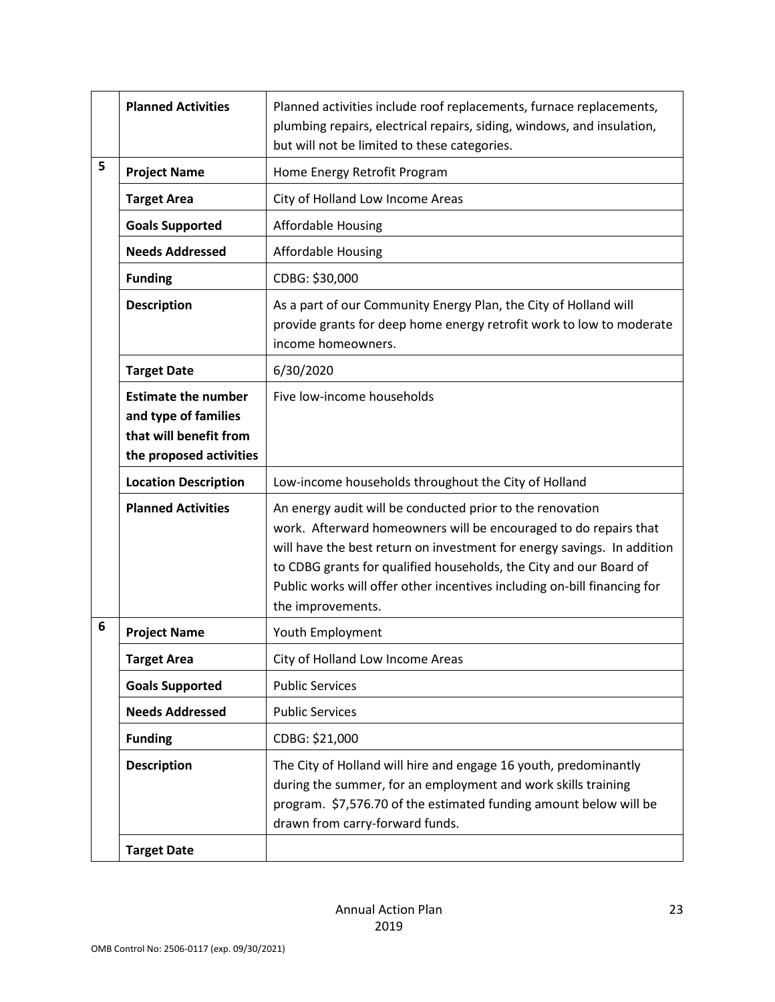|   | <b>Planned Activities</b>                                                                               | Planned activities include roof replacements, furnace replacements,<br>plumbing repairs, electrical repairs, siding, windows, and insulation,<br>but will not be limited to these categories.                                                                                                                                                                                   |
|---|---------------------------------------------------------------------------------------------------------|---------------------------------------------------------------------------------------------------------------------------------------------------------------------------------------------------------------------------------------------------------------------------------------------------------------------------------------------------------------------------------|
| 5 | <b>Project Name</b>                                                                                     | Home Energy Retrofit Program                                                                                                                                                                                                                                                                                                                                                    |
|   | <b>Target Area</b>                                                                                      | City of Holland Low Income Areas                                                                                                                                                                                                                                                                                                                                                |
|   | <b>Goals Supported</b>                                                                                  | <b>Affordable Housing</b>                                                                                                                                                                                                                                                                                                                                                       |
|   | <b>Needs Addressed</b>                                                                                  | <b>Affordable Housing</b>                                                                                                                                                                                                                                                                                                                                                       |
|   | <b>Funding</b>                                                                                          | CDBG: \$30,000                                                                                                                                                                                                                                                                                                                                                                  |
|   | <b>Description</b>                                                                                      | As a part of our Community Energy Plan, the City of Holland will<br>provide grants for deep home energy retrofit work to low to moderate<br>income homeowners.                                                                                                                                                                                                                  |
|   | <b>Target Date</b>                                                                                      | 6/30/2020                                                                                                                                                                                                                                                                                                                                                                       |
|   | <b>Estimate the number</b><br>and type of families<br>that will benefit from<br>the proposed activities | Five low-income households                                                                                                                                                                                                                                                                                                                                                      |
|   | <b>Location Description</b>                                                                             | Low-income households throughout the City of Holland                                                                                                                                                                                                                                                                                                                            |
|   | <b>Planned Activities</b>                                                                               | An energy audit will be conducted prior to the renovation<br>work. Afterward homeowners will be encouraged to do repairs that<br>will have the best return on investment for energy savings. In addition<br>to CDBG grants for qualified households, the City and our Board of<br>Public works will offer other incentives including on-bill financing for<br>the improvements. |
| 6 | <b>Project Name</b>                                                                                     | Youth Employment                                                                                                                                                                                                                                                                                                                                                                |
|   | <b>Target Area</b>                                                                                      | City of Holland Low Income Areas                                                                                                                                                                                                                                                                                                                                                |
|   | <b>Goals Supported</b>                                                                                  | <b>Public Services</b>                                                                                                                                                                                                                                                                                                                                                          |
|   | <b>Needs Addressed</b>                                                                                  | <b>Public Services</b>                                                                                                                                                                                                                                                                                                                                                          |
|   | <b>Funding</b>                                                                                          | CDBG: \$21,000                                                                                                                                                                                                                                                                                                                                                                  |
|   | <b>Description</b>                                                                                      | The City of Holland will hire and engage 16 youth, predominantly<br>during the summer, for an employment and work skills training<br>program. \$7,576.70 of the estimated funding amount below will be<br>drawn from carry-forward funds.                                                                                                                                       |
|   | <b>Target Date</b>                                                                                      |                                                                                                                                                                                                                                                                                                                                                                                 |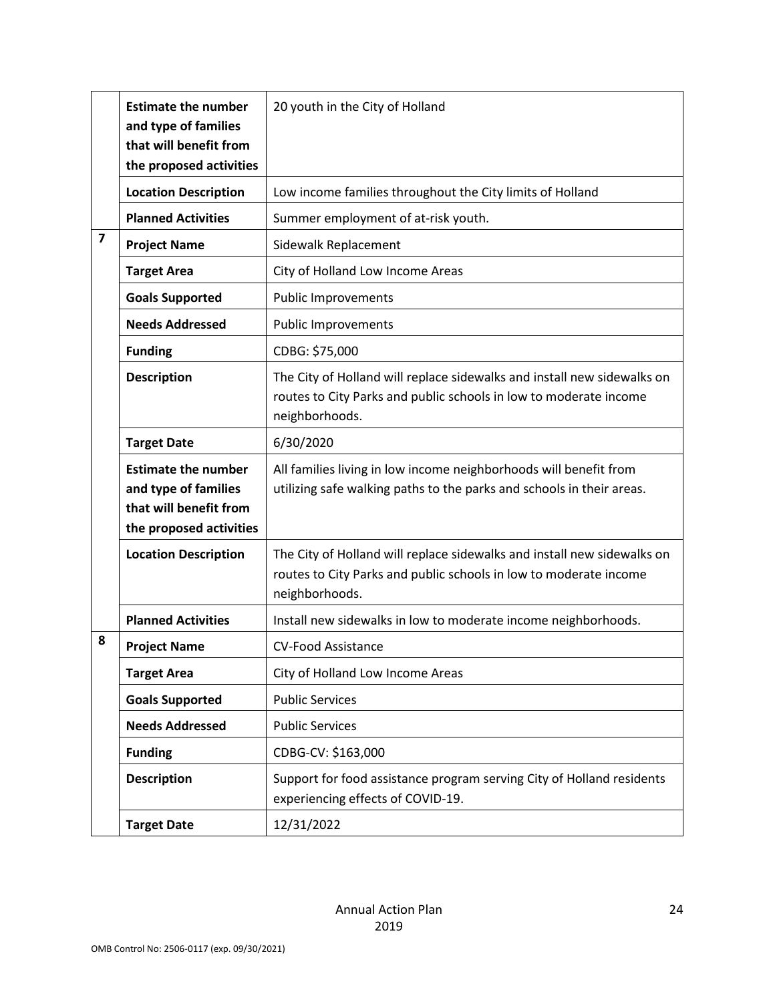|                         | <b>Estimate the number</b><br>and type of families<br>that will benefit from<br>the proposed activities | 20 youth in the City of Holland                                                                                                                                |
|-------------------------|---------------------------------------------------------------------------------------------------------|----------------------------------------------------------------------------------------------------------------------------------------------------------------|
|                         | <b>Location Description</b>                                                                             | Low income families throughout the City limits of Holland                                                                                                      |
|                         | <b>Planned Activities</b>                                                                               | Summer employment of at-risk youth.                                                                                                                            |
| $\overline{\mathbf{z}}$ | <b>Project Name</b>                                                                                     | Sidewalk Replacement                                                                                                                                           |
|                         | <b>Target Area</b>                                                                                      | City of Holland Low Income Areas                                                                                                                               |
|                         | <b>Goals Supported</b>                                                                                  | <b>Public Improvements</b>                                                                                                                                     |
|                         | <b>Needs Addressed</b>                                                                                  | <b>Public Improvements</b>                                                                                                                                     |
|                         | <b>Funding</b>                                                                                          | CDBG: \$75,000                                                                                                                                                 |
|                         | <b>Description</b>                                                                                      | The City of Holland will replace sidewalks and install new sidewalks on<br>routes to City Parks and public schools in low to moderate income<br>neighborhoods. |
|                         | <b>Target Date</b>                                                                                      | 6/30/2020                                                                                                                                                      |
|                         | <b>Estimate the number</b><br>and type of families<br>that will benefit from<br>the proposed activities | All families living in low income neighborhoods will benefit from<br>utilizing safe walking paths to the parks and schools in their areas.                     |
|                         | <b>Location Description</b>                                                                             | The City of Holland will replace sidewalks and install new sidewalks on<br>routes to City Parks and public schools in low to moderate income<br>neighborhoods. |
|                         | <b>Planned Activities</b>                                                                               | Install new sidewalks in low to moderate income neighborhoods.                                                                                                 |
| 8                       | <b>Project Name</b>                                                                                     | <b>CV-Food Assistance</b>                                                                                                                                      |
|                         | <b>Target Area</b>                                                                                      | City of Holland Low Income Areas                                                                                                                               |
|                         | <b>Goals Supported</b>                                                                                  | <b>Public Services</b>                                                                                                                                         |
|                         | <b>Needs Addressed</b>                                                                                  | <b>Public Services</b>                                                                                                                                         |
|                         | <b>Funding</b>                                                                                          | CDBG-CV: \$163,000                                                                                                                                             |
|                         | <b>Description</b>                                                                                      | Support for food assistance program serving City of Holland residents<br>experiencing effects of COVID-19.                                                     |
|                         | <b>Target Date</b>                                                                                      | 12/31/2022                                                                                                                                                     |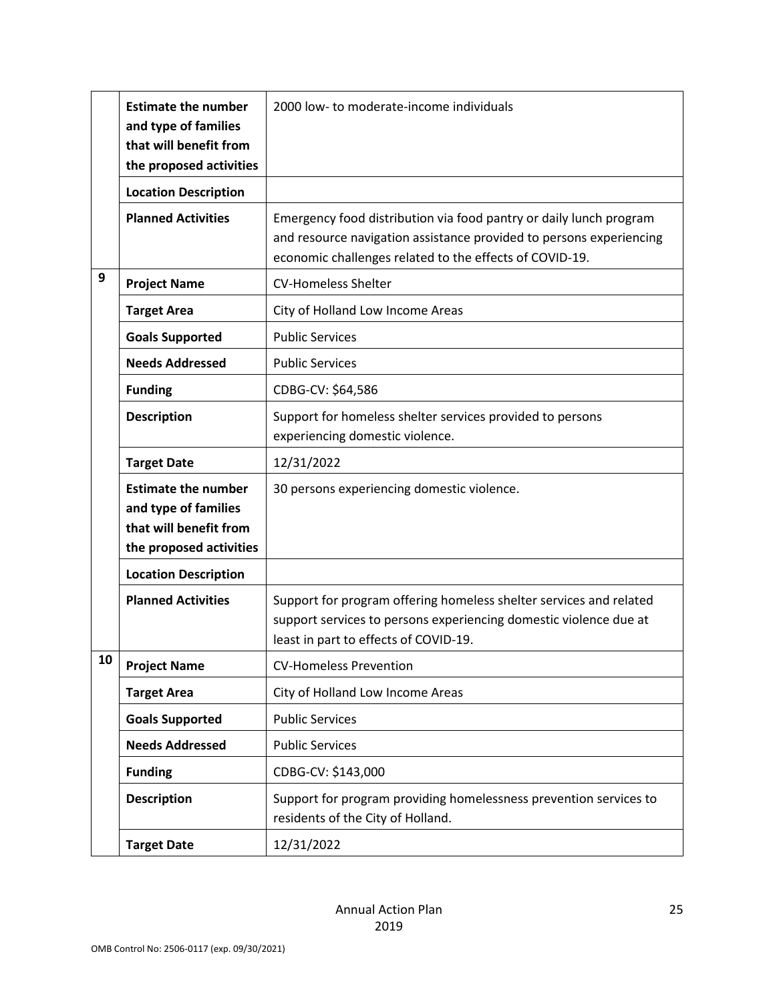|    | <b>Estimate the number</b><br>and type of families<br>that will benefit from<br>the proposed activities | 2000 low- to moderate-income individuals                                                                                                                                                             |
|----|---------------------------------------------------------------------------------------------------------|------------------------------------------------------------------------------------------------------------------------------------------------------------------------------------------------------|
|    | <b>Location Description</b>                                                                             |                                                                                                                                                                                                      |
|    | <b>Planned Activities</b>                                                                               | Emergency food distribution via food pantry or daily lunch program<br>and resource navigation assistance provided to persons experiencing<br>economic challenges related to the effects of COVID-19. |
| 9  | <b>Project Name</b>                                                                                     | <b>CV-Homeless Shelter</b>                                                                                                                                                                           |
|    | <b>Target Area</b>                                                                                      | City of Holland Low Income Areas                                                                                                                                                                     |
|    | <b>Goals Supported</b>                                                                                  | <b>Public Services</b>                                                                                                                                                                               |
|    | <b>Needs Addressed</b>                                                                                  | <b>Public Services</b>                                                                                                                                                                               |
|    | <b>Funding</b>                                                                                          | CDBG-CV: \$64,586                                                                                                                                                                                    |
|    | <b>Description</b>                                                                                      | Support for homeless shelter services provided to persons<br>experiencing domestic violence.                                                                                                         |
|    | <b>Target Date</b>                                                                                      | 12/31/2022                                                                                                                                                                                           |
|    | <b>Estimate the number</b><br>and type of families<br>that will benefit from<br>the proposed activities | 30 persons experiencing domestic violence.                                                                                                                                                           |
|    | <b>Location Description</b>                                                                             |                                                                                                                                                                                                      |
|    | <b>Planned Activities</b>                                                                               | Support for program offering homeless shelter services and related<br>support services to persons experiencing domestic violence due at<br>least in part to effects of COVID-19.                     |
| 10 | <b>Project Name</b>                                                                                     | <b>CV-Homeless Prevention</b>                                                                                                                                                                        |
|    | <b>Target Area</b>                                                                                      | City of Holland Low Income Areas                                                                                                                                                                     |
|    | <b>Goals Supported</b>                                                                                  | <b>Public Services</b>                                                                                                                                                                               |
|    | <b>Needs Addressed</b>                                                                                  | <b>Public Services</b>                                                                                                                                                                               |
|    | <b>Funding</b>                                                                                          | CDBG-CV: \$143,000                                                                                                                                                                                   |
|    | <b>Description</b>                                                                                      | Support for program providing homelessness prevention services to<br>residents of the City of Holland.                                                                                               |
|    | <b>Target Date</b>                                                                                      | 12/31/2022                                                                                                                                                                                           |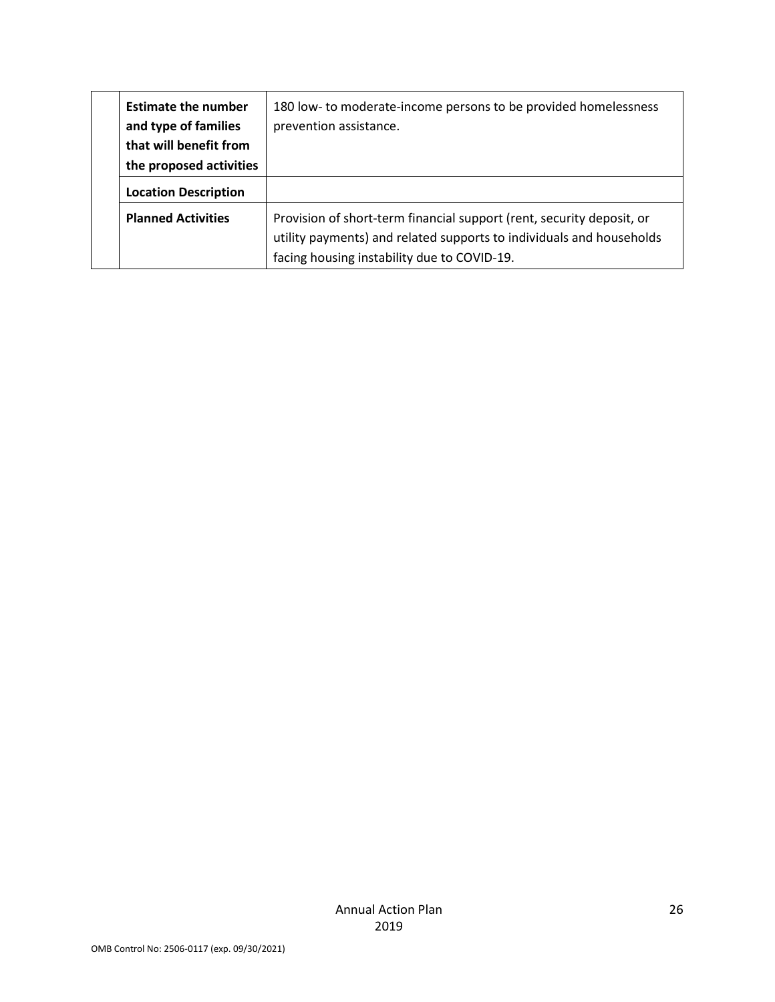| <b>Estimate the number</b><br>and type of families<br>that will benefit from<br>the proposed activities | 180 low- to moderate-income persons to be provided homelessness<br>prevention assistance.                                                                                                    |
|---------------------------------------------------------------------------------------------------------|----------------------------------------------------------------------------------------------------------------------------------------------------------------------------------------------|
| <b>Location Description</b>                                                                             |                                                                                                                                                                                              |
| <b>Planned Activities</b>                                                                               | Provision of short-term financial support (rent, security deposit, or<br>utility payments) and related supports to individuals and households<br>facing housing instability due to COVID-19. |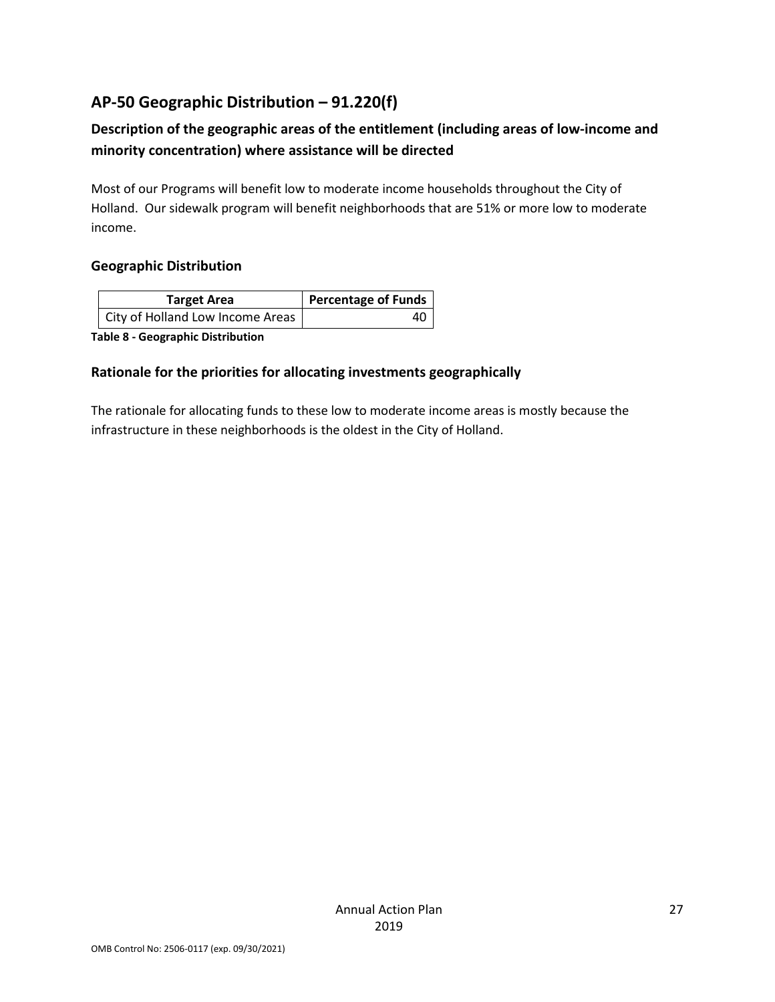### **AP-50 Geographic Distribution – 91.220(f)**

### **Description of the geographic areas of the entitlement (including areas of low-income and minority concentration) where assistance will be directed**

Most of our Programs will benefit low to moderate income households throughout the City of Holland. Our sidewalk program will benefit neighborhoods that are 51% or more low to moderate income.

#### **Geographic Distribution**

| <b>Target Area</b>                 | Percentage of Funds |
|------------------------------------|---------------------|
| City of Holland Low Income Areas I |                     |

**Table 8 - Geographic Distribution** 

### **Rationale for the priorities for allocating investments geographically**

The rationale for allocating funds to these low to moderate income areas is mostly because the infrastructure in these neighborhoods is the oldest in the City of Holland.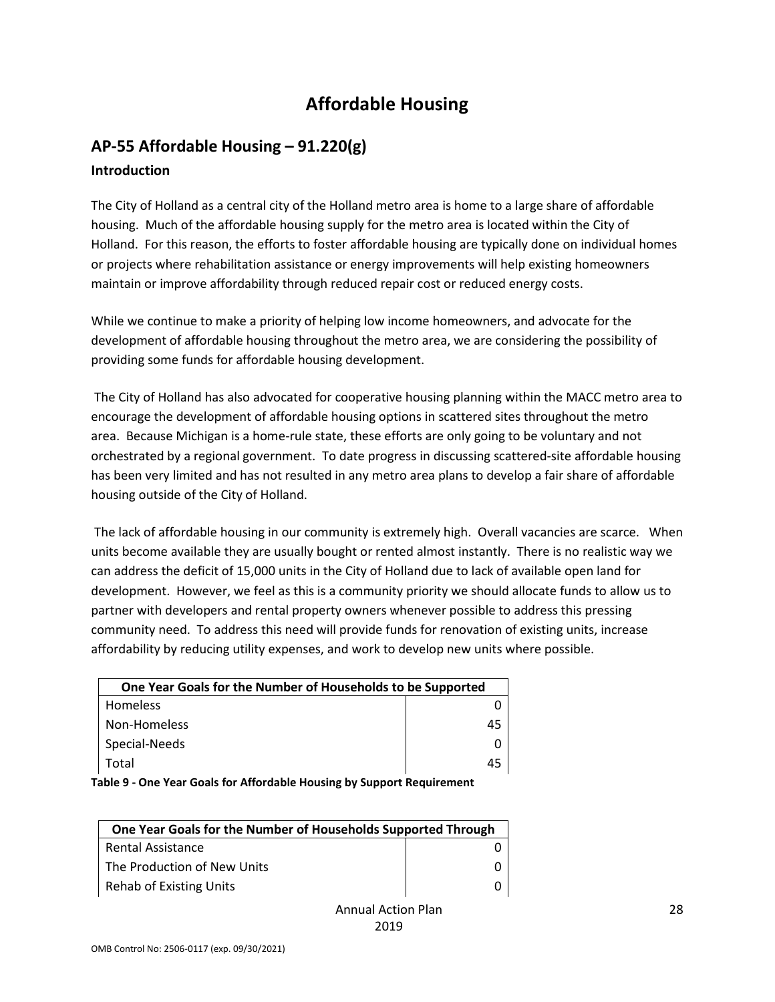### **Affordable Housing**

### **AP-55 Affordable Housing – 91.220(g) Introduction**

The City of Holland as a central city of the Holland metro area is home to a large share of affordable housing. Much of the affordable housing supply for the metro area is located within the City of Holland. For this reason, the efforts to foster affordable housing are typically done on individual homes or projects where rehabilitation assistance or energy improvements will help existing homeowners maintain or improve affordability through reduced repair cost or reduced energy costs.

While we continue to make a priority of helping low income homeowners, and advocate for the development of affordable housing throughout the metro area, we are considering the possibility of providing some funds for affordable housing development.

The City of Holland has also advocated for cooperative housing planning within the MACC metro area to encourage the development of affordable housing options in scattered sites throughout the metro area. Because Michigan is a home-rule state, these efforts are only going to be voluntary and not orchestrated by a regional government. To date progress in discussing scattered-site affordable housing has been very limited and has not resulted in any metro area plans to develop a fair share of affordable housing outside of the City of Holland.

The lack of affordable housing in our community is extremely high. Overall vacancies are scarce. When units become available they are usually bought or rented almost instantly. There is no realistic way we can address the deficit of 15,000 units in the City of Holland due to lack of available open land for development. However, we feel as this is a community priority we should allocate funds to allow us to partner with developers and rental property owners whenever possible to address this pressing community need. To address this need will provide funds for renovation of existing units, increase affordability by reducing utility expenses, and work to develop new units where possible.

| One Year Goals for the Number of Households to be Supported |    |
|-------------------------------------------------------------|----|
| <b>Homeless</b>                                             |    |
| Non-Homeless                                                | 45 |
| Special-Needs                                               |    |
| Total                                                       |    |

**Table 9 - One Year Goals for Affordable Housing by Support Requirement**

| One Year Goals for the Number of Households Supported Through |  |
|---------------------------------------------------------------|--|
| <b>Rental Assistance</b>                                      |  |
| The Production of New Units                                   |  |
| Rehab of Existing Units                                       |  |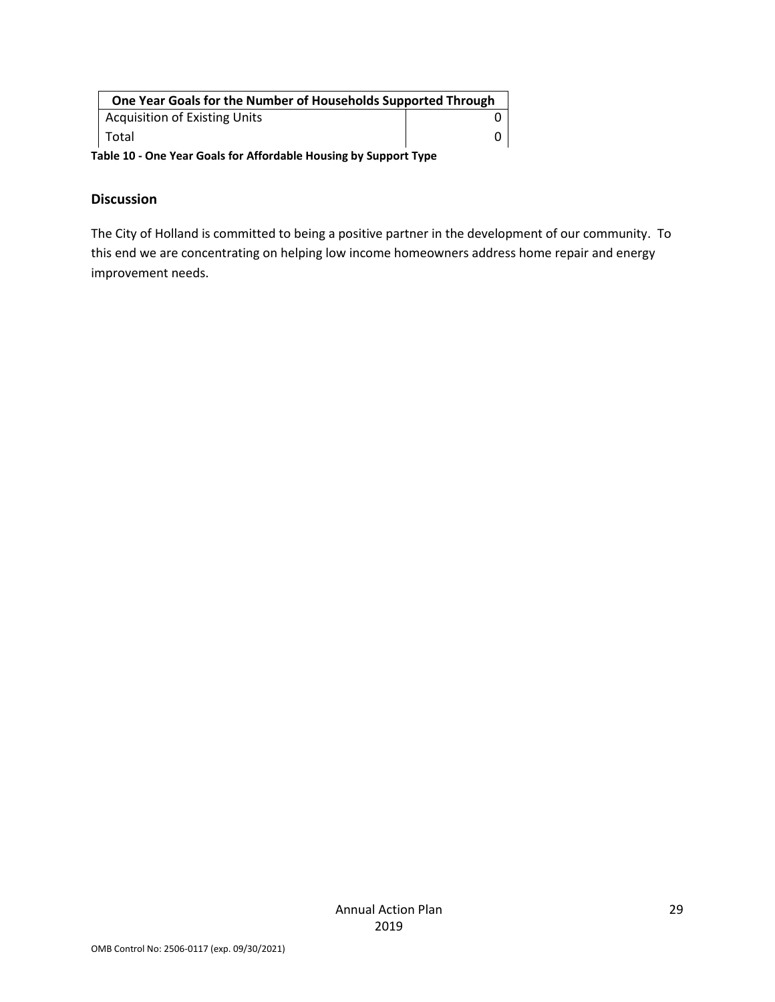| One Year Goals for the Number of Households Supported Through |  |
|---------------------------------------------------------------|--|
| <b>Acquisition of Existing Units</b>                          |  |
| l Total                                                       |  |

**Table 10 - One Year Goals for Affordable Housing by Support Type**

#### **Discussion**

The City of Holland is committed to being a positive partner in the development of our community. To this end we are concentrating on helping low income homeowners address home repair and energy improvement needs.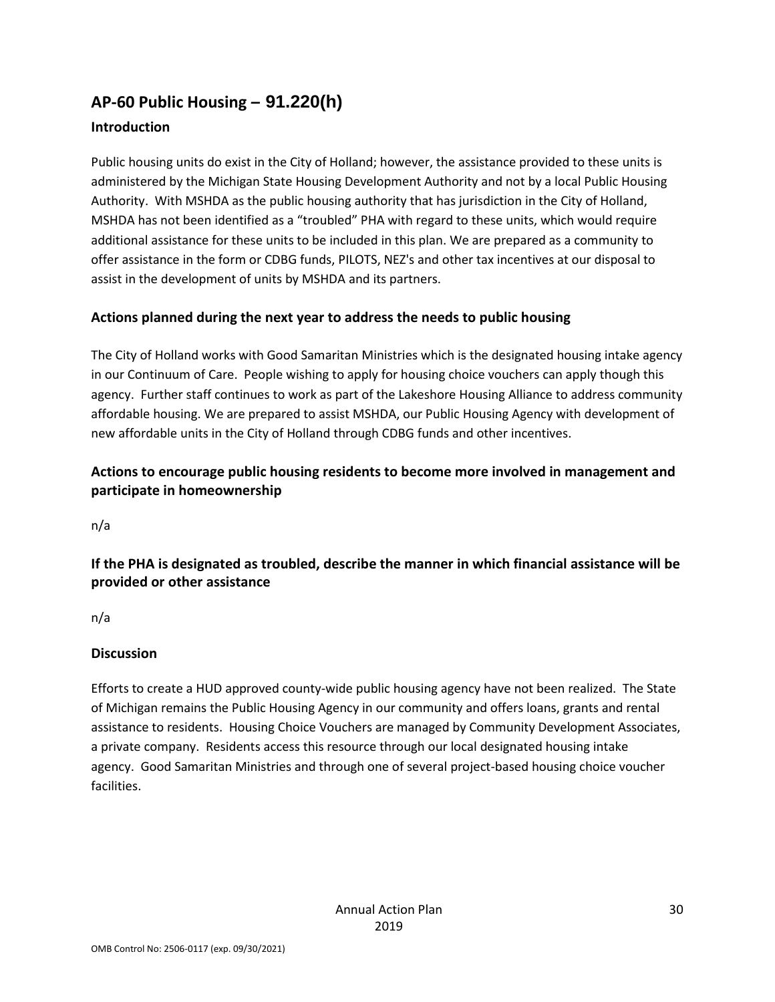### **AP-60 Public Housing** *–* **91.220(h)**

### **Introduction**

Public housing units do exist in the City of Holland; however, the assistance provided to these units is administered by the Michigan State Housing Development Authority and not by a local Public Housing Authority. With MSHDA as the public housing authority that has jurisdiction in the City of Holland, MSHDA has not been identified as a "troubled" PHA with regard to these units, which would require additional assistance for these units to be included in this plan. We are prepared as a community to offer assistance in the form or CDBG funds, PILOTS, NEZ's and other tax incentives at our disposal to assist in the development of units by MSHDA and its partners.

### **Actions planned during the next year to address the needs to public housing**

The City of Holland works with Good Samaritan Ministries which is the designated housing intake agency in our Continuum of Care. People wishing to apply for housing choice vouchers can apply though this agency. Further staff continues to work as part of the Lakeshore Housing Alliance to address community affordable housing. We are prepared to assist MSHDA, our Public Housing Agency with development of new affordable units in the City of Holland through CDBG funds and other incentives.

### **Actions to encourage public housing residents to become more involved in management and participate in homeownership**

n/a

**If the PHA is designated as troubled, describe the manner in which financial assistance will be provided or other assistance** 

n/a

### **Discussion**

Efforts to create a HUD approved county-wide public housing agency have not been realized. The State of Michigan remains the Public Housing Agency in our community and offers loans, grants and rental assistance to residents. Housing Choice Vouchers are managed by Community Development Associates, a private company. Residents access this resource through our local designated housing intake agency. Good Samaritan Ministries and through one of several project-based housing choice voucher facilities.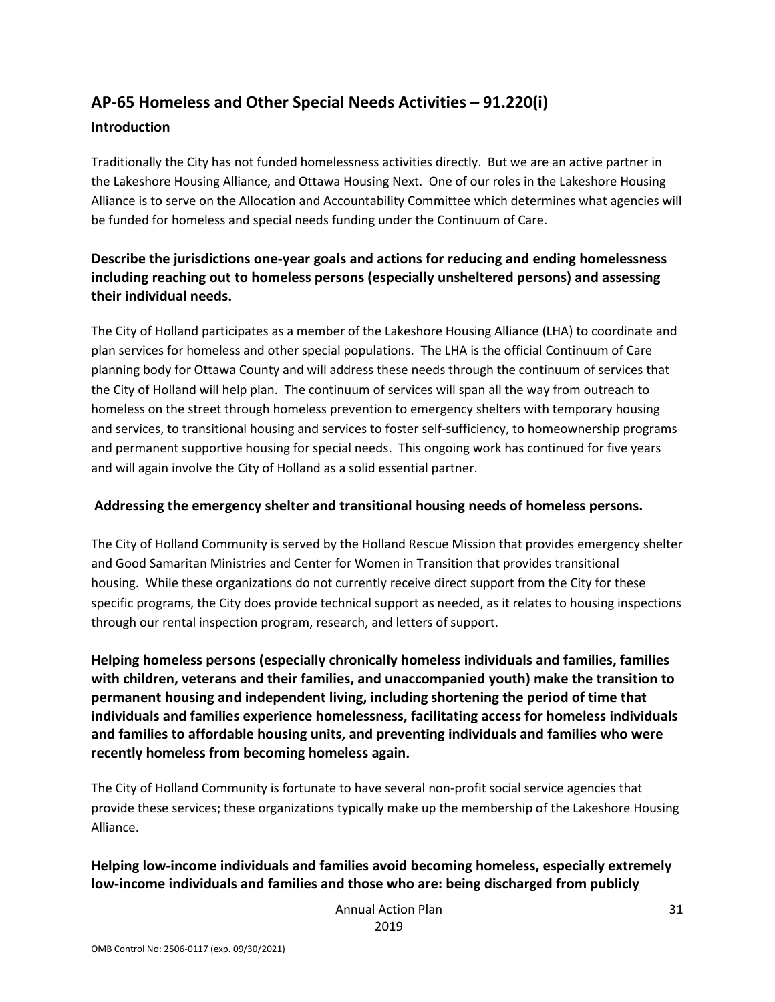## **AP-65 Homeless and Other Special Needs Activities – 91.220(i)**

#### **Introduction**

Traditionally the City has not funded homelessness activities directly. But we are an active partner in the Lakeshore Housing Alliance, and Ottawa Housing Next. One of our roles in the Lakeshore Housing Alliance is to serve on the Allocation and Accountability Committee which determines what agencies will be funded for homeless and special needs funding under the Continuum of Care.

### **Describe the jurisdictions one-year goals and actions for reducing and ending homelessness including reaching out to homeless persons (especially unsheltered persons) and assessing their individual needs.**

The City of Holland participates as a member of the Lakeshore Housing Alliance (LHA) to coordinate and plan services for homeless and other special populations. The LHA is the official Continuum of Care planning body for Ottawa County and will address these needs through the continuum of services that the City of Holland will help plan. The continuum of services will span all the way from outreach to homeless on the street through homeless prevention to emergency shelters with temporary housing and services, to transitional housing and services to foster self-sufficiency, to homeownership programs and permanent supportive housing for special needs. This ongoing work has continued for five years and will again involve the City of Holland as a solid essential partner.

### **Addressing the emergency shelter and transitional housing needs of homeless persons.**

The City of Holland Community is served by the Holland Rescue Mission that provides emergency shelter and Good Samaritan Ministries and Center for Women in Transition that provides transitional housing. While these organizations do not currently receive direct support from the City for these specific programs, the City does provide technical support as needed, as it relates to housing inspections through our rental inspection program, research, and letters of support.

**Helping homeless persons (especially chronically homeless individuals and families, families with children, veterans and their families, and unaccompanied youth) make the transition to permanent housing and independent living, including shortening the period of time that individuals and families experience homelessness, facilitating access for homeless individuals and families to affordable housing units, and preventing individuals and families who were recently homeless from becoming homeless again.**

The City of Holland Community is fortunate to have several non-profit social service agencies that provide these services; these organizations typically make up the membership of the Lakeshore Housing Alliance.

### **Helping low-income individuals and families avoid becoming homeless, especially extremely low-income individuals and families and those who are: being discharged from publicly**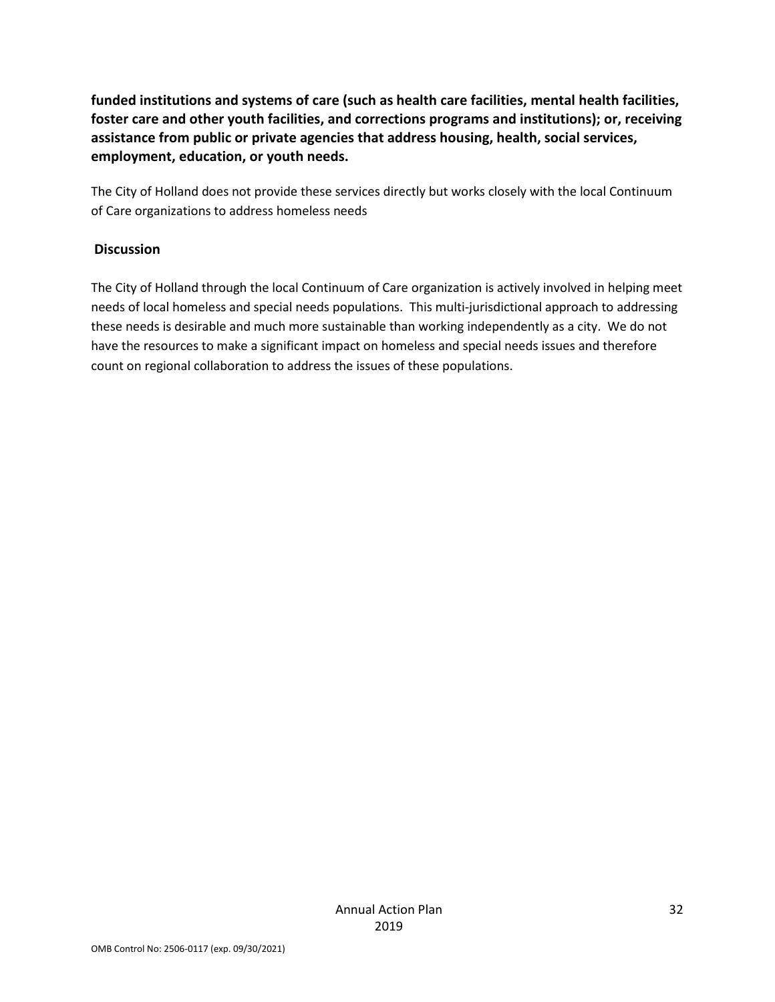**funded institutions and systems of care (such as health care facilities, mental health facilities, foster care and other youth facilities, and corrections programs and institutions); or, receiving assistance from public or private agencies that address housing, health, social services, employment, education, or youth needs.**

The City of Holland does not provide these services directly but works closely with the local Continuum of Care organizations to address homeless needs

### **Discussion**

The City of Holland through the local Continuum of Care organization is actively involved in helping meet needs of local homeless and special needs populations. This multi-jurisdictional approach to addressing these needs is desirable and much more sustainable than working independently as a city. We do not have the resources to make a significant impact on homeless and special needs issues and therefore count on regional collaboration to address the issues of these populations.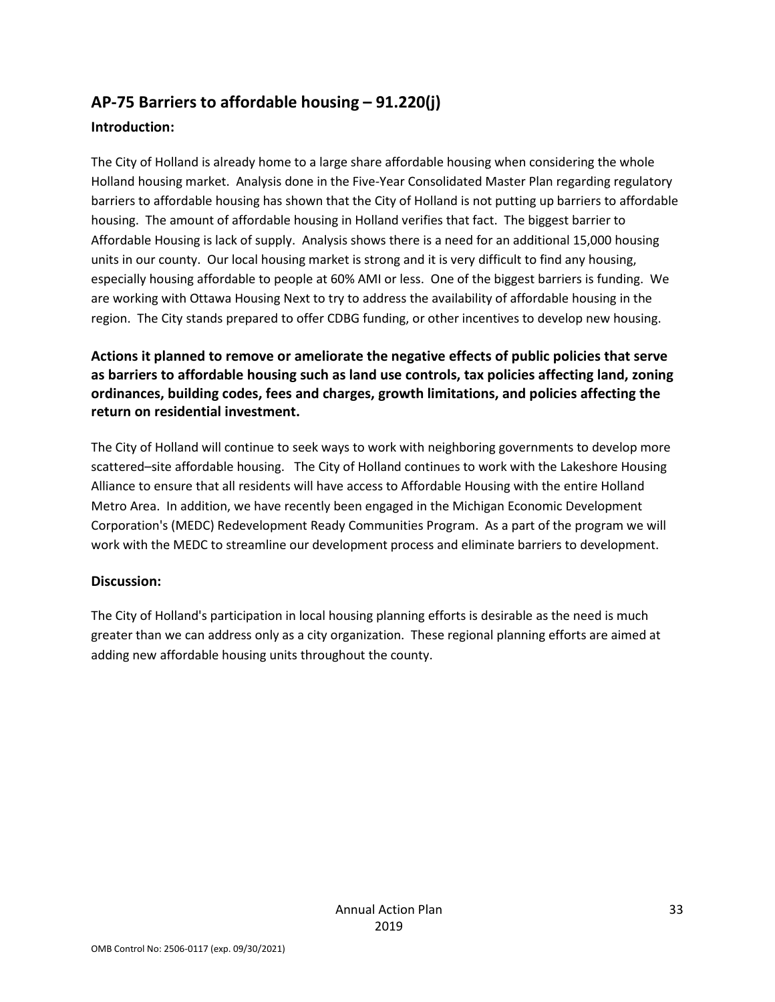### **AP-75 Barriers to affordable housing – 91.220(j)**

#### **Introduction:**

The City of Holland is already home to a large share affordable housing when considering the whole Holland housing market. Analysis done in the Five-Year Consolidated Master Plan regarding regulatory barriers to affordable housing has shown that the City of Holland is not putting up barriers to affordable housing. The amount of affordable housing in Holland verifies that fact. The biggest barrier to Affordable Housing is lack of supply. Analysis shows there is a need for an additional 15,000 housing units in our county. Our local housing market is strong and it is very difficult to find any housing, especially housing affordable to people at 60% AMI or less. One of the biggest barriers is funding. We are working with Ottawa Housing Next to try to address the availability of affordable housing in the region. The City stands prepared to offer CDBG funding, or other incentives to develop new housing.

### **Actions it planned to remove or ameliorate the negative effects of public policies that serve as barriers to affordable housing such as land use controls, tax policies affecting land, zoning ordinances, building codes, fees and charges, growth limitations, and policies affecting the return on residential investment.**

The City of Holland will continue to seek ways to work with neighboring governments to develop more scattered–site affordable housing. The City of Holland continues to work with the Lakeshore Housing Alliance to ensure that all residents will have access to Affordable Housing with the entire Holland Metro Area. In addition, we have recently been engaged in the Michigan Economic Development Corporation's (MEDC) Redevelopment Ready Communities Program. As a part of the program we will work with the MEDC to streamline our development process and eliminate barriers to development.

### **Discussion:**

The City of Holland's participation in local housing planning efforts is desirable as the need is much greater than we can address only as a city organization. These regional planning efforts are aimed at adding new affordable housing units throughout the county.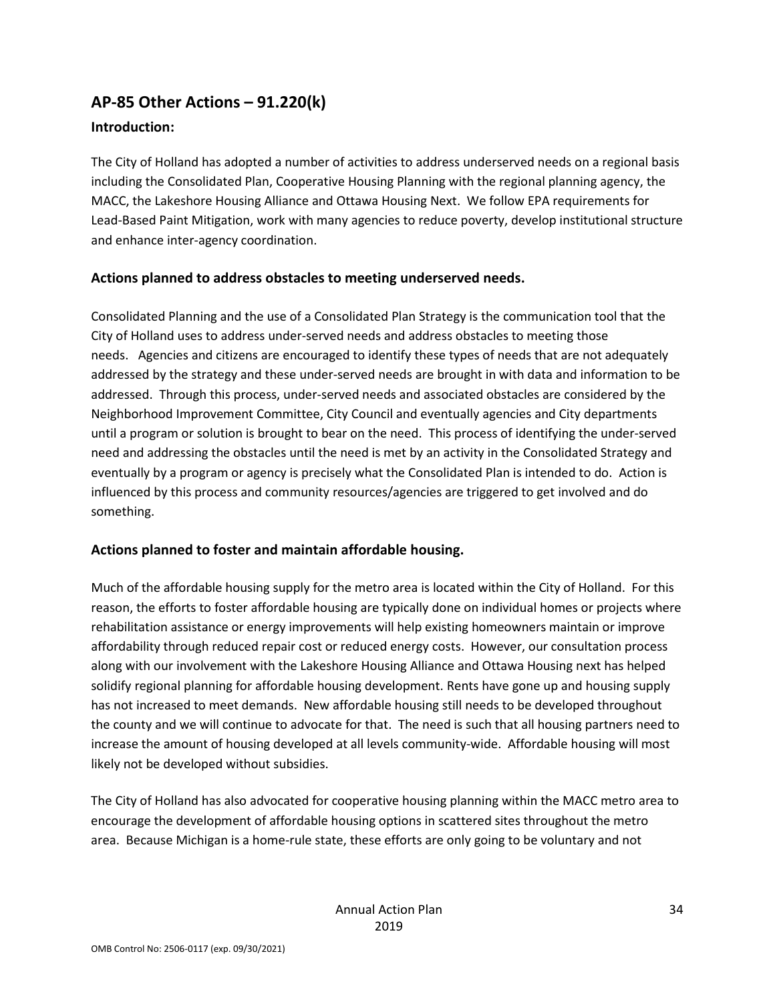# **AP-85 Other Actions – 91.220(k)**

### **Introduction:**

The City of Holland has adopted a number of activities to address underserved needs on a regional basis including the Consolidated Plan, Cooperative Housing Planning with the regional planning agency, the MACC, the Lakeshore Housing Alliance and Ottawa Housing Next. We follow EPA requirements for Lead-Based Paint Mitigation, work with many agencies to reduce poverty, develop institutional structure and enhance inter-agency coordination.

### **Actions planned to address obstacles to meeting underserved needs.**

Consolidated Planning and the use of a Consolidated Plan Strategy is the communication tool that the City of Holland uses to address under-served needs and address obstacles to meeting those needs. Agencies and citizens are encouraged to identify these types of needs that are not adequately addressed by the strategy and these under-served needs are brought in with data and information to be addressed. Through this process, under-served needs and associated obstacles are considered by the Neighborhood Improvement Committee, City Council and eventually agencies and City departments until a program or solution is brought to bear on the need. This process of identifying the under-served need and addressing the obstacles until the need is met by an activity in the Consolidated Strategy and eventually by a program or agency is precisely what the Consolidated Plan is intended to do. Action is influenced by this process and community resources/agencies are triggered to get involved and do something.

### **Actions planned to foster and maintain affordable housing.**

Much of the affordable housing supply for the metro area is located within the City of Holland. For this reason, the efforts to foster affordable housing are typically done on individual homes or projects where rehabilitation assistance or energy improvements will help existing homeowners maintain or improve affordability through reduced repair cost or reduced energy costs. However, our consultation process along with our involvement with the Lakeshore Housing Alliance and Ottawa Housing next has helped solidify regional planning for affordable housing development. Rents have gone up and housing supply has not increased to meet demands. New affordable housing still needs to be developed throughout the county and we will continue to advocate for that. The need is such that all housing partners need to increase the amount of housing developed at all levels community-wide. Affordable housing will most likely not be developed without subsidies.

The City of Holland has also advocated for cooperative housing planning within the MACC metro area to encourage the development of affordable housing options in scattered sites throughout the metro area. Because Michigan is a home-rule state, these efforts are only going to be voluntary and not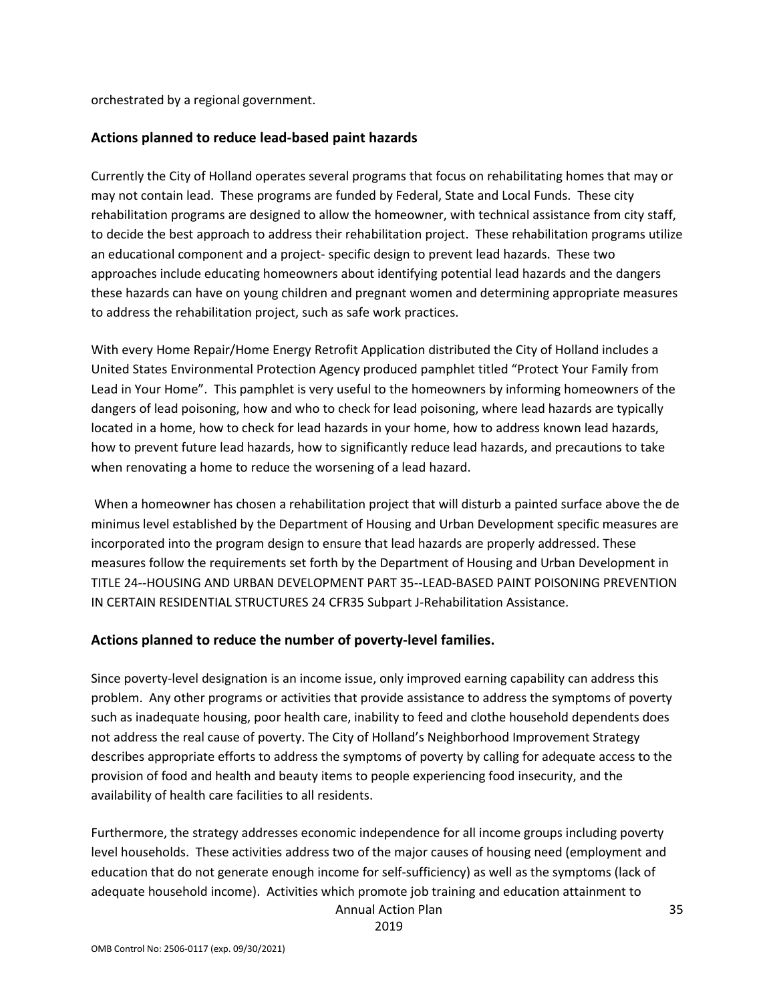orchestrated by a regional government.

#### **Actions planned to reduce lead-based paint hazards**

Currently the City of Holland operates several programs that focus on rehabilitating homes that may or may not contain lead. These programs are funded by Federal, State and Local Funds. These city rehabilitation programs are designed to allow the homeowner, with technical assistance from city staff, to decide the best approach to address their rehabilitation project. These rehabilitation programs utilize an educational component and a project- specific design to prevent lead hazards. These two approaches include educating homeowners about identifying potential lead hazards and the dangers these hazards can have on young children and pregnant women and determining appropriate measures to address the rehabilitation project, such as safe work practices.

With every Home Repair/Home Energy Retrofit Application distributed the City of Holland includes a United States Environmental Protection Agency produced pamphlet titled "Protect Your Family from Lead in Your Home". This pamphlet is very useful to the homeowners by informing homeowners of the dangers of lead poisoning, how and who to check for lead poisoning, where lead hazards are typically located in a home, how to check for lead hazards in your home, how to address known lead hazards, how to prevent future lead hazards, how to significantly reduce lead hazards, and precautions to take when renovating a home to reduce the worsening of a lead hazard.

When a homeowner has chosen a rehabilitation project that will disturb a painted surface above the de minimus level established by the Department of Housing and Urban Development specific measures are incorporated into the program design to ensure that lead hazards are properly addressed. These measures follow the requirements set forth by the Department of Housing and Urban Development in TITLE 24--HOUSING AND URBAN DEVELOPMENT PART 35--LEAD-BASED PAINT POISONING PREVENTION IN CERTAIN RESIDENTIAL STRUCTURES 24 CFR35 Subpart J-Rehabilitation Assistance.

### **Actions planned to reduce the number of poverty-level families.**

Since poverty-level designation is an income issue, only improved earning capability can address this problem. Any other programs or activities that provide assistance to address the symptoms of poverty such as inadequate housing, poor health care, inability to feed and clothe household dependents does not address the real cause of poverty. The City of Holland's Neighborhood Improvement Strategy describes appropriate efforts to address the symptoms of poverty by calling for adequate access to the provision of food and health and beauty items to people experiencing food insecurity, and the availability of health care facilities to all residents.

Furthermore, the strategy addresses economic independence for all income groups including poverty level households. These activities address two of the major causes of housing need (employment and education that do not generate enough income for self-sufficiency) as well as the symptoms (lack of adequate household income). Activities which promote job training and education attainment to

Annual Action Plan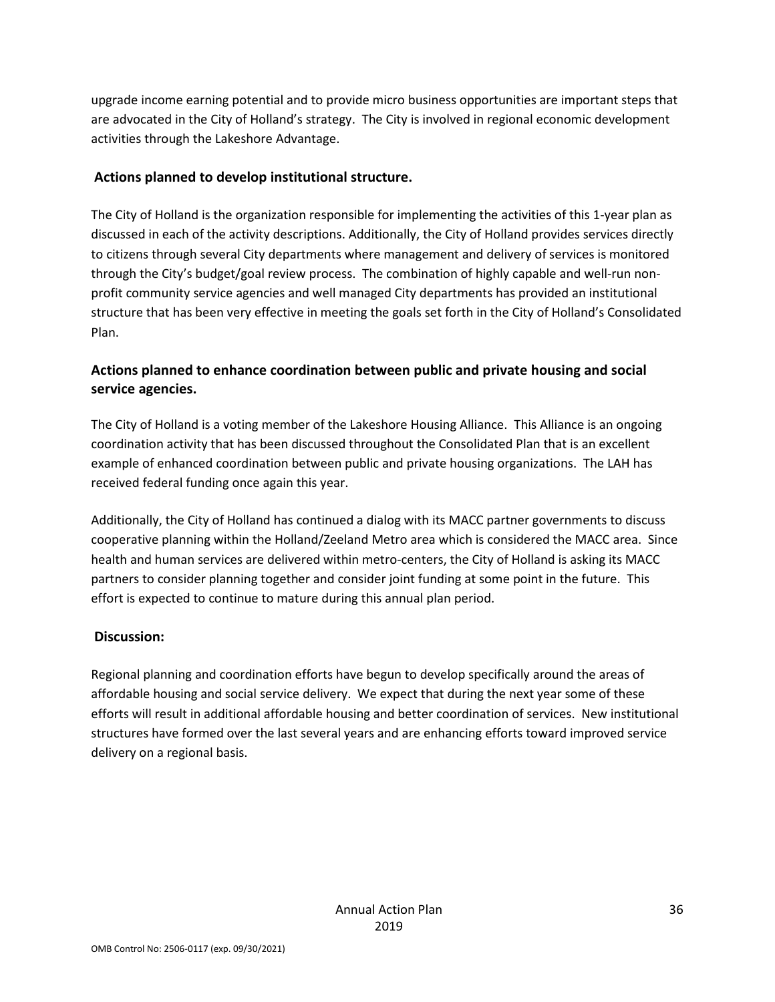upgrade income earning potential and to provide micro business opportunities are important steps that are advocated in the City of Holland's strategy. The City is involved in regional economic development activities through the Lakeshore Advantage.

#### **Actions planned to develop institutional structure.**

The City of Holland is the organization responsible for implementing the activities of this 1-year plan as discussed in each of the activity descriptions. Additionally, the City of Holland provides services directly to citizens through several City departments where management and delivery of services is monitored through the City's budget/goal review process. The combination of highly capable and well-run nonprofit community service agencies and well managed City departments has provided an institutional structure that has been very effective in meeting the goals set forth in the City of Holland's Consolidated Plan.

### **Actions planned to enhance coordination between public and private housing and social service agencies.**

The City of Holland is a voting member of the Lakeshore Housing Alliance. This Alliance is an ongoing coordination activity that has been discussed throughout the Consolidated Plan that is an excellent example of enhanced coordination between public and private housing organizations. The LAH has received federal funding once again this year.

Additionally, the City of Holland has continued a dialog with its MACC partner governments to discuss cooperative planning within the Holland/Zeeland Metro area which is considered the MACC area. Since health and human services are delivered within metro-centers, the City of Holland is asking its MACC partners to consider planning together and consider joint funding at some point in the future. This effort is expected to continue to mature during this annual plan period.

### **Discussion:**

Regional planning and coordination efforts have begun to develop specifically around the areas of affordable housing and social service delivery. We expect that during the next year some of these efforts will result in additional affordable housing and better coordination of services. New institutional structures have formed over the last several years and are enhancing efforts toward improved service delivery on a regional basis.